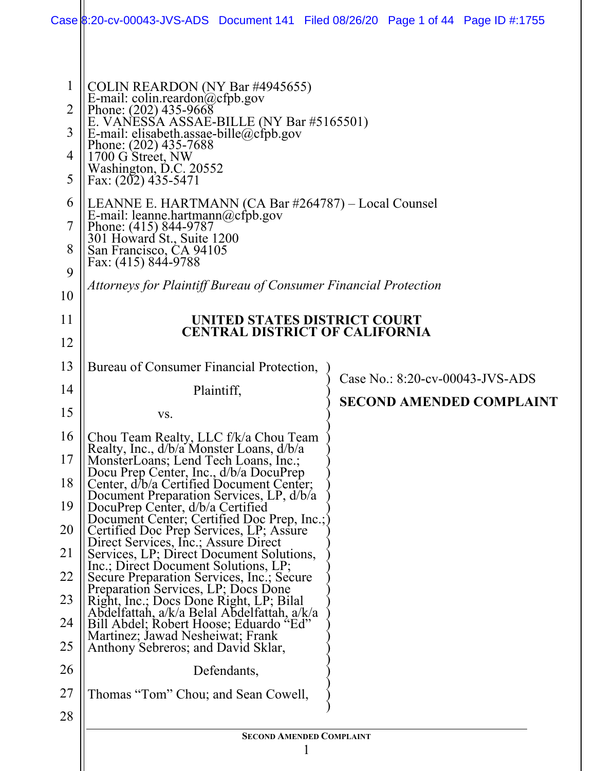|                                                                         |                                                                                                                                                                                                                                                                                                                                                                                                                                                                                                                                                          | Case 8:20-cv-00043-JVS-ADS Document 141 Filed 08/26/20 Page 1 of 44 Page ID #:1755 |  |
|-------------------------------------------------------------------------|----------------------------------------------------------------------------------------------------------------------------------------------------------------------------------------------------------------------------------------------------------------------------------------------------------------------------------------------------------------------------------------------------------------------------------------------------------------------------------------------------------------------------------------------------------|------------------------------------------------------------------------------------|--|
| $\mathbf{1}$<br>$\overline{2}$<br>3<br>4<br>5<br>6<br>7<br>8<br>9<br>10 | COLIN REARDON (NY Bar #4945655)<br>E-mail: colin.reardon@cfpb.gov<br>Phone: (202) 435-9668<br>E. VANESSA ASSAE-BILLE (NY Bar #5165501)<br>E-mail: elisabeth.assae-bille@cfpb.gov<br>Phone: (202) 435-7688<br>1700 G Street, NW<br>Washington, D.C. 20552<br>Fax: $(202)$ 435-5471<br>LEANNE E. HARTMANN (CA Bar #264787) – Local Counsel<br>E-mail: leanne.hartmann@cfpb.gov<br>Phone: (415) 844-9787<br>301 Howard St., Suite 1200<br>San Francisco, CA 94105<br>Fax: (415) 844-9788<br>Attorneys for Plaintiff Bureau of Consumer Financial Protection |                                                                                    |  |
| 11                                                                      | UNITED STATES DISTRICT COURT<br><b>CENTRAL DISTRICT OF CALIFORNIA</b>                                                                                                                                                                                                                                                                                                                                                                                                                                                                                    |                                                                                    |  |
| 12                                                                      |                                                                                                                                                                                                                                                                                                                                                                                                                                                                                                                                                          |                                                                                    |  |
| 13                                                                      | Bureau of Consumer Financial Protection,                                                                                                                                                                                                                                                                                                                                                                                                                                                                                                                 | Case No.: 8:20-cv-00043-JVS-ADS                                                    |  |
| 14                                                                      | Plaintiff,                                                                                                                                                                                                                                                                                                                                                                                                                                                                                                                                               | <b>SECOND AMENDED COMPLAINT</b>                                                    |  |
| 15                                                                      | VS.                                                                                                                                                                                                                                                                                                                                                                                                                                                                                                                                                      |                                                                                    |  |
| 16                                                                      | Chou Team Realty, LLC f/k/a Chou Team<br>Realty, Inc., d/b/a Monster Loans, d/b/a                                                                                                                                                                                                                                                                                                                                                                                                                                                                        |                                                                                    |  |
| 17                                                                      | MonsterLoans; Lend Tech Loans, Inc.;<br>Docu Prep Center, Inc., d/b/a DocuPrep                                                                                                                                                                                                                                                                                                                                                                                                                                                                           |                                                                                    |  |
| 18                                                                      | Center, d/b/a Certified Document Center;<br>Document Preparation Services, LP, d/b/a                                                                                                                                                                                                                                                                                                                                                                                                                                                                     |                                                                                    |  |
| 19<br>20                                                                | DocuPrep Center, d/b/a Certified<br>Document Center; Certified Doc Prep, Inc.;                                                                                                                                                                                                                                                                                                                                                                                                                                                                           |                                                                                    |  |
| 21                                                                      | Certified Doc Prep Services, LP; Assure<br>Direct Services, Inc.; Assure Direct<br>Services, LP; Direct Document Solutions,                                                                                                                                                                                                                                                                                                                                                                                                                              |                                                                                    |  |
| 22                                                                      | Inc.; Direct Document Solutions, LP;<br>Secure Preparation Services, Inc.; Secure                                                                                                                                                                                                                                                                                                                                                                                                                                                                        |                                                                                    |  |
| 23                                                                      | Preparation Services, LP; Docs Done<br>Right, Inc.; Docs Done Right, LP; Bilal                                                                                                                                                                                                                                                                                                                                                                                                                                                                           |                                                                                    |  |
| 24                                                                      | Abdelfattah, a/k/a Belal Abdelfattah, a/k/a<br>Bill Abdel; Robert Hoose; Eduardo "Ed"                                                                                                                                                                                                                                                                                                                                                                                                                                                                    |                                                                                    |  |
| 25                                                                      | Martinez; Jawad Nesheiwat; Frank<br>Anthony Sebreros; and David Sklar,                                                                                                                                                                                                                                                                                                                                                                                                                                                                                   |                                                                                    |  |
| 26                                                                      | Defendants,                                                                                                                                                                                                                                                                                                                                                                                                                                                                                                                                              |                                                                                    |  |
| 27                                                                      | Thomas "Tom" Chou; and Sean Cowell,                                                                                                                                                                                                                                                                                                                                                                                                                                                                                                                      |                                                                                    |  |
| 28                                                                      |                                                                                                                                                                                                                                                                                                                                                                                                                                                                                                                                                          |                                                                                    |  |
|                                                                         | <b>SECOND AMENDED COMPLAINT</b>                                                                                                                                                                                                                                                                                                                                                                                                                                                                                                                          |                                                                                    |  |
|                                                                         |                                                                                                                                                                                                                                                                                                                                                                                                                                                                                                                                                          |                                                                                    |  |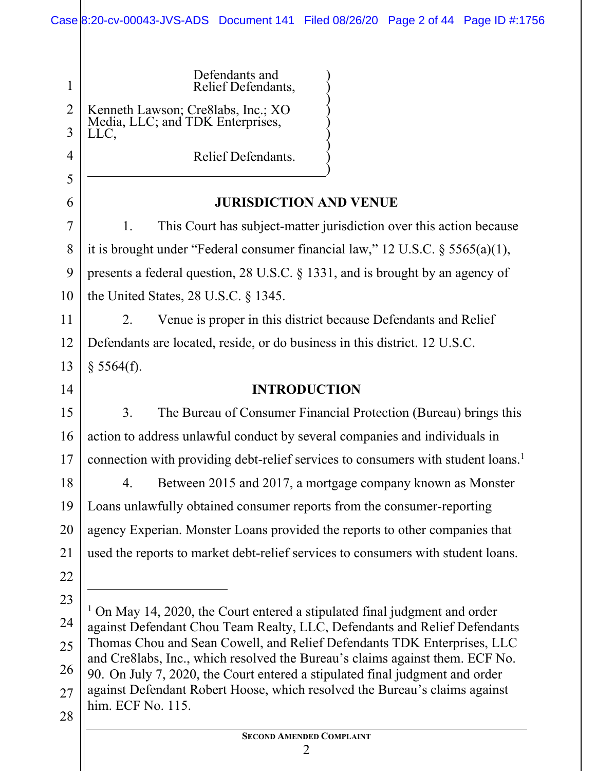|                     | Case 8:20-cv-00043-JVS-ADS Document 141 Filed 08/26/20 Page 2 of 44 Page ID #:1756                                                                           |  |  |
|---------------------|--------------------------------------------------------------------------------------------------------------------------------------------------------------|--|--|
|                     |                                                                                                                                                              |  |  |
| $\mathbf{1}$        | Defendants and<br>Relief Defendants,                                                                                                                         |  |  |
| $\overline{2}$<br>3 | Kenneth Lawson; Cre8labs, Inc.; XO<br>Media, LLC; and TDK Enterprises,<br>LLC,                                                                               |  |  |
| 4                   | Relief Defendants.                                                                                                                                           |  |  |
| 5                   |                                                                                                                                                              |  |  |
| 6                   | <b>JURISDICTION AND VENUE</b>                                                                                                                                |  |  |
| $\overline{7}$      | This Court has subject-matter jurisdiction over this action because<br>1.                                                                                    |  |  |
| 8                   | it is brought under "Federal consumer financial law," 12 U.S.C. $\S$ 5565(a)(1),                                                                             |  |  |
| 9                   | presents a federal question, 28 U.S.C. $\S$ 1331, and is brought by an agency of                                                                             |  |  |
| 10                  | the United States, $28$ U.S.C. $\S$ 1345.                                                                                                                    |  |  |
| 11                  | Venue is proper in this district because Defendants and Relief<br>2.                                                                                         |  |  |
| 12                  | Defendants are located, reside, or do business in this district. 12 U.S.C.                                                                                   |  |  |
| 13                  | § 5564(f).                                                                                                                                                   |  |  |
| 14                  | <b>INTRODUCTION</b>                                                                                                                                          |  |  |
| 15                  | 3.<br>The Bureau of Consumer Financial Protection (Bureau) brings this                                                                                       |  |  |
| 16                  | action to address unlawful conduct by several companies and individuals in                                                                                   |  |  |
| 17                  | connection with providing debt-relief services to consumers with student loans. <sup>1</sup>                                                                 |  |  |
| 18                  | Between 2015 and 2017, a mortgage company known as Monster<br>4.                                                                                             |  |  |
| 19                  | Loans unlawfully obtained consumer reports from the consumer-reporting                                                                                       |  |  |
| 20                  | agency Experian. Monster Loans provided the reports to other companies that                                                                                  |  |  |
| 21                  | used the reports to market debt-relief services to consumers with student loans.                                                                             |  |  |
| 22                  |                                                                                                                                                              |  |  |
| 23                  |                                                                                                                                                              |  |  |
| 24                  | On May 14, 2020, the Court entered a stipulated final judgment and order<br>against Defendant Chou Team Realty, LLC, Defendants and Relief Defendants        |  |  |
| 25                  | Thomas Chou and Sean Cowell, and Relief Defendants TDK Enterprises, LLC                                                                                      |  |  |
| 26                  | and Cre8labs, Inc., which resolved the Bureau's claims against them. ECF No.<br>90. On July 7, 2020, the Court entered a stipulated final judgment and order |  |  |
| 27                  | against Defendant Robert Hoose, which resolved the Bureau's claims against                                                                                   |  |  |
| 28                  | him. ECF No. 115.                                                                                                                                            |  |  |
|                     | <b>SECOND AMENDED COMPLAINT</b>                                                                                                                              |  |  |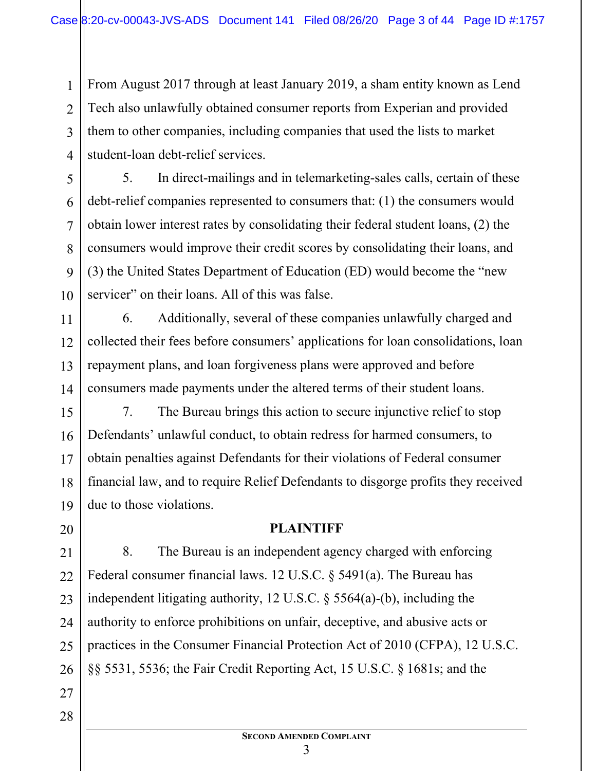From August 2017 through at least January 2019, a sham entity known as Lend Tech also unlawfully obtained consumer reports from Experian and provided them to other companies, including companies that used the lists to market student-loan debt-relief services.

1

2

3

4

5

6

7

8

9

10

11

12

13

20

21

23

27

28

5. In direct-mailings and in telemarketing-sales calls, certain of these debt-relief companies represented to consumers that: (1) the consumers would obtain lower interest rates by consolidating their federal student loans, (2) the consumers would improve their credit scores by consolidating their loans, and (3) the United States Department of Education (ED) would become the "new servicer" on their loans. All of this was false.

14 6. Additionally, several of these companies unlawfully charged and collected their fees before consumers' applications for loan consolidations, loan repayment plans, and loan forgiveness plans were approved and before consumers made payments under the altered terms of their student loans.

15 16 17 18 19 7. The Bureau brings this action to secure injunctive relief to stop Defendants' unlawful conduct, to obtain redress for harmed consumers, to obtain penalties against Defendants for their violations of Federal consumer financial law, and to require Relief Defendants to disgorge profits they received due to those violations.

#### **PLAINTIFF**

22 24 25 26 8. The Bureau is an independent agency charged with enforcing Federal consumer financial laws. 12 U.S.C. § 5491(a). The Bureau has independent litigating authority, 12 U.S.C. § 5564(a)-(b), including the authority to enforce prohibitions on unfair, deceptive, and abusive acts or practices in the Consumer Financial Protection Act of 2010 (CFPA), 12 U.S.C. §§ 5531, 5536; the Fair Credit Reporting Act, 15 U.S.C. § 1681s; and the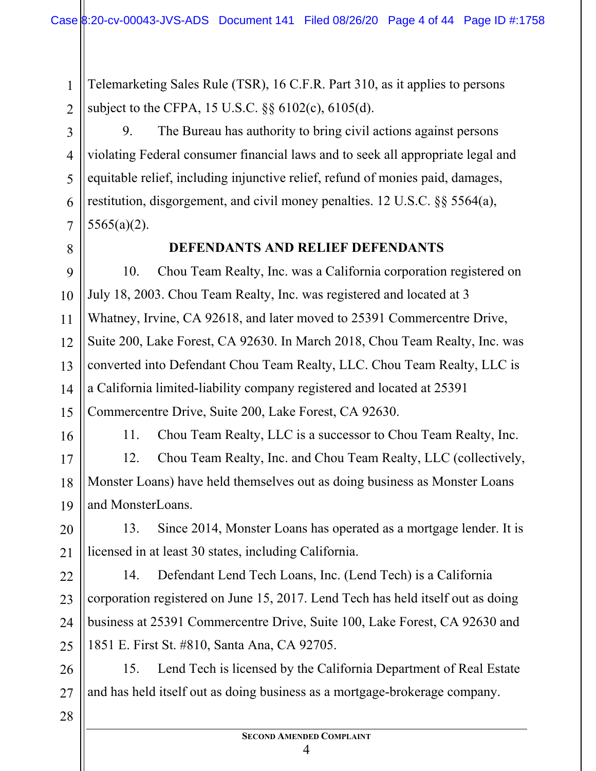Telemarketing Sales Rule (TSR), 16 C.F.R. Part 310, as it applies to persons subject to the CFPA, 15 U.S.C. §§ 6102(c), 6105(d).

9. The Bureau has authority to bring civil actions against persons violating Federal consumer financial laws and to seek all appropriate legal and equitable relief, including injunctive relief, refund of monies paid, damages, restitution, disgorgement, and civil money penalties. 12 U.S.C. §§ 5564(a), 5565(a)(2).

8

1

2

3

4

5

6

7

9

10

11

12

13

15

#### **DEFENDANTS AND RELIEF DEFENDANTS**

14 10. Chou Team Realty, Inc. was a California corporation registered on July 18, 2003. Chou Team Realty, Inc. was registered and located at 3 Whatney, Irvine, CA 92618, and later moved to 25391 Commercentre Drive, Suite 200, Lake Forest, CA 92630. In March 2018, Chou Team Realty, Inc. was converted into Defendant Chou Team Realty, LLC. Chou Team Realty, LLC is a California limited-liability company registered and located at 25391 Commercentre Drive, Suite 200, Lake Forest, CA 92630.

16

11. Chou Team Realty, LLC is a successor to Chou Team Realty, Inc.

17 18 19 12. Chou Team Realty, Inc. and Chou Team Realty, LLC (collectively, Monster Loans) have held themselves out as doing business as Monster Loans and MonsterLoans.

20 21 13. Since 2014, Monster Loans has operated as a mortgage lender. It is licensed in at least 30 states, including California.

22 23 24 25 14. Defendant Lend Tech Loans, Inc. (Lend Tech) is a California corporation registered on June 15, 2017. Lend Tech has held itself out as doing business at 25391 Commercentre Drive, Suite 100, Lake Forest, CA 92630 and 1851 E. First St. #810, Santa Ana, CA 92705.

26 27 15. Lend Tech is licensed by the California Department of Real Estate and has held itself out as doing business as a mortgage-brokerage company.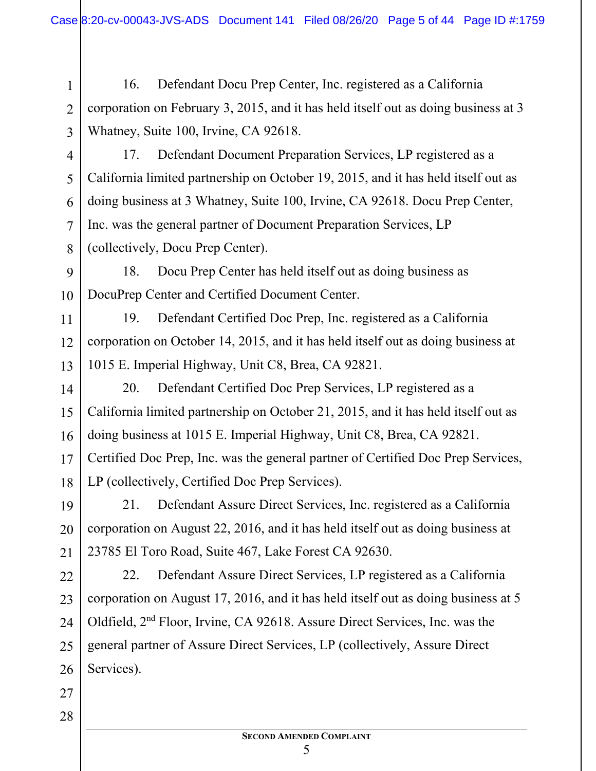16. Defendant Docu Prep Center, Inc. registered as a California corporation on February 3, 2015, and it has held itself out as doing business at 3 Whatney, Suite 100, Irvine, CA 92618.

4

1

2

3

5

6

7

8

11

12

13

14

15

16

17

18

17. Defendant Document Preparation Services, LP registered as a California limited partnership on October 19, 2015, and it has held itself out as doing business at 3 Whatney, Suite 100, Irvine, CA 92618. Docu Prep Center, Inc. was the general partner of Document Preparation Services, LP (collectively, Docu Prep Center).

9 10 18. Docu Prep Center has held itself out as doing business as DocuPrep Center and Certified Document Center.

19. Defendant Certified Doc Prep, Inc. registered as a California corporation on October 14, 2015, and it has held itself out as doing business at 1015 E. Imperial Highway, Unit C8, Brea, CA 92821.

20. Defendant Certified Doc Prep Services, LP registered as a California limited partnership on October 21, 2015, and it has held itself out as doing business at 1015 E. Imperial Highway, Unit C8, Brea, CA 92821. Certified Doc Prep, Inc. was the general partner of Certified Doc Prep Services, LP (collectively, Certified Doc Prep Services).

19 20 21 21. Defendant Assure Direct Services, Inc. registered as a California corporation on August 22, 2016, and it has held itself out as doing business at 23785 El Toro Road, Suite 467, Lake Forest CA 92630.

22 23 24 25 26 22. Defendant Assure Direct Services, LP registered as a California corporation on August 17, 2016, and it has held itself out as doing business at 5 Oldfield, 2nd Floor, Irvine, CA 92618. Assure Direct Services, Inc. was the general partner of Assure Direct Services, LP (collectively, Assure Direct Services).

27 28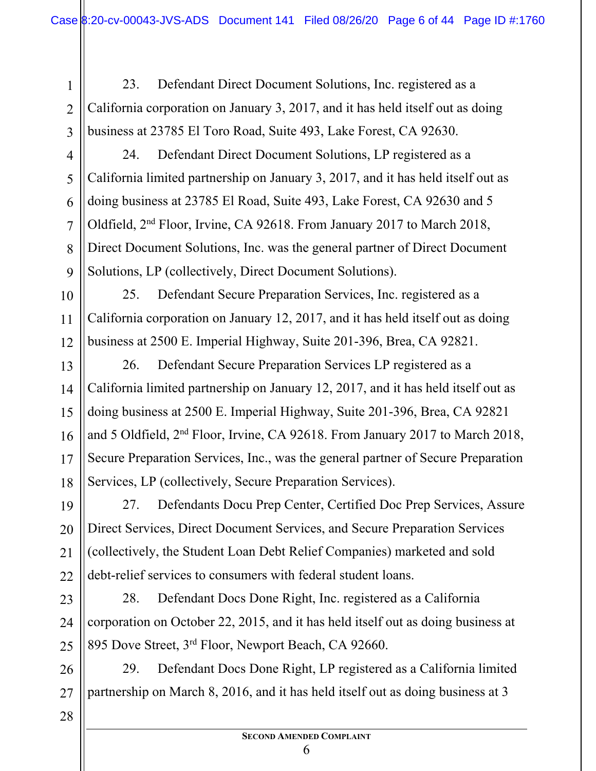23. Defendant Direct Document Solutions, Inc. registered as a California corporation on January 3, 2017, and it has held itself out as doing business at 23785 El Toro Road, Suite 493, Lake Forest, CA 92630.

4

1

2

3

5

6

7

8

9

10

11

12

13

14

15

16

17

18

24. Defendant Direct Document Solutions, LP registered as a California limited partnership on January 3, 2017, and it has held itself out as doing business at 23785 El Road, Suite 493, Lake Forest, CA 92630 and 5 Oldfield, 2nd Floor, Irvine, CA 92618. From January 2017 to March 2018, Direct Document Solutions, Inc. was the general partner of Direct Document Solutions, LP (collectively, Direct Document Solutions).

25. Defendant Secure Preparation Services, Inc. registered as a California corporation on January 12, 2017, and it has held itself out as doing business at 2500 E. Imperial Highway, Suite 201-396, Brea, CA 92821.

26. Defendant Secure Preparation Services LP registered as a California limited partnership on January 12, 2017, and it has held itself out as doing business at 2500 E. Imperial Highway, Suite 201-396, Brea, CA 92821 and 5 Oldfield, 2nd Floor, Irvine, CA 92618. From January 2017 to March 2018, Secure Preparation Services, Inc., was the general partner of Secure Preparation Services, LP (collectively, Secure Preparation Services).

19 20 21 22 27. Defendants Docu Prep Center, Certified Doc Prep Services, Assure Direct Services, Direct Document Services, and Secure Preparation Services (collectively, the Student Loan Debt Relief Companies) marketed and sold debt-relief services to consumers with federal student loans.

23 24 25 28. Defendant Docs Done Right, Inc. registered as a California corporation on October 22, 2015, and it has held itself out as doing business at 895 Dove Street, 3rd Floor, Newport Beach, CA 92660.

26 27 29. Defendant Docs Done Right, LP registered as a California limited partnership on March 8, 2016, and it has held itself out as doing business at 3

<sup>28</sup>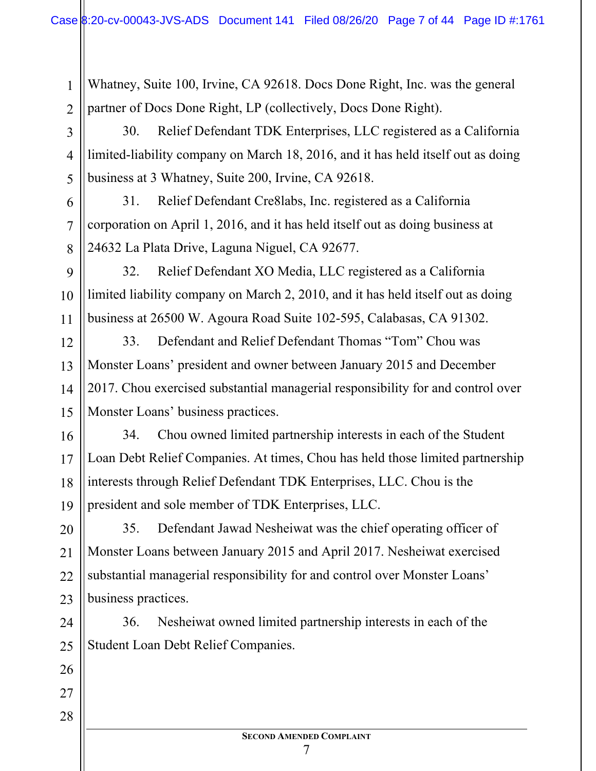Whatney, Suite 100, Irvine, CA 92618. Docs Done Right, Inc. was the general partner of Docs Done Right, LP (collectively, Docs Done Right).

30. Relief Defendant TDK Enterprises, LLC registered as a California limited-liability company on March 18, 2016, and it has held itself out as doing business at 3 Whatney, Suite 200, Irvine, CA 92618.

31. Relief Defendant Cre8labs, Inc. registered as a California corporation on April 1, 2016, and it has held itself out as doing business at 24632 La Plata Drive, Laguna Niguel, CA 92677.

9 11 32. Relief Defendant XO Media, LLC registered as a California limited liability company on March 2, 2010, and it has held itself out as doing business at 26500 W. Agoura Road Suite 102-595, Calabasas, CA 91302.

14 33. Defendant and Relief Defendant Thomas "Tom" Chou was Monster Loans' president and owner between January 2015 and December 2017. Chou exercised substantial managerial responsibility for and control over Monster Loans' business practices.

16 17 18 19 34. Chou owned limited partnership interests in each of the Student Loan Debt Relief Companies. At times, Chou has held those limited partnership interests through Relief Defendant TDK Enterprises, LLC. Chou is the president and sole member of TDK Enterprises, LLC.

20 21 22 23 35. Defendant Jawad Nesheiwat was the chief operating officer of Monster Loans between January 2015 and April 2017. Nesheiwat exercised substantial managerial responsibility for and control over Monster Loans' business practices.

24 25 36. Nesheiwat owned limited partnership interests in each of the Student Loan Debt Relief Companies.

26

27

1

2

3

4

5

6

7

8

10

12

13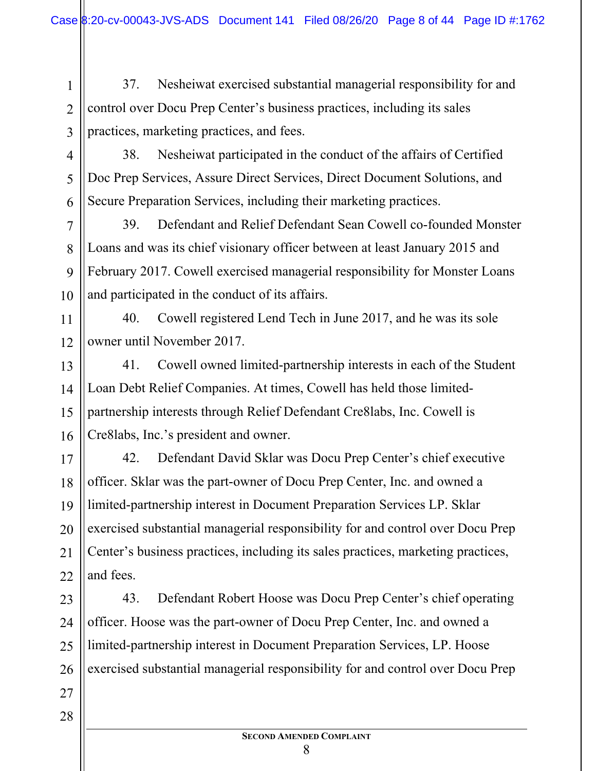37. Nesheiwat exercised substantial managerial responsibility for and control over Docu Prep Center's business practices, including its sales practices, marketing practices, and fees.

1

2

3

4

5

7

8

9

11

27

28

6 38. Nesheiwat participated in the conduct of the affairs of Certified Doc Prep Services, Assure Direct Services, Direct Document Solutions, and Secure Preparation Services, including their marketing practices.

10 39. Defendant and Relief Defendant Sean Cowell co-founded Monster Loans and was its chief visionary officer between at least January 2015 and February 2017. Cowell exercised managerial responsibility for Monster Loans and participated in the conduct of its affairs.

12 40. Cowell registered Lend Tech in June 2017, and he was its sole owner until November 2017.

13 14 15 16 41. Cowell owned limited-partnership interests in each of the Student Loan Debt Relief Companies. At times, Cowell has held those limitedpartnership interests through Relief Defendant Cre8labs, Inc. Cowell is Cre8labs, Inc.'s president and owner.

17 18 19 20 21 22 42. Defendant David Sklar was Docu Prep Center's chief executive officer. Sklar was the part-owner of Docu Prep Center, Inc. and owned a limited-partnership interest in Document Preparation Services LP. Sklar exercised substantial managerial responsibility for and control over Docu Prep Center's business practices, including its sales practices, marketing practices, and fees.

23 24 25 26 43. Defendant Robert Hoose was Docu Prep Center's chief operating officer. Hoose was the part-owner of Docu Prep Center, Inc. and owned a limited-partnership interest in Document Preparation Services, LP. Hoose exercised substantial managerial responsibility for and control over Docu Prep

- **SECOND AMENDED COMPLAINT**
	- 8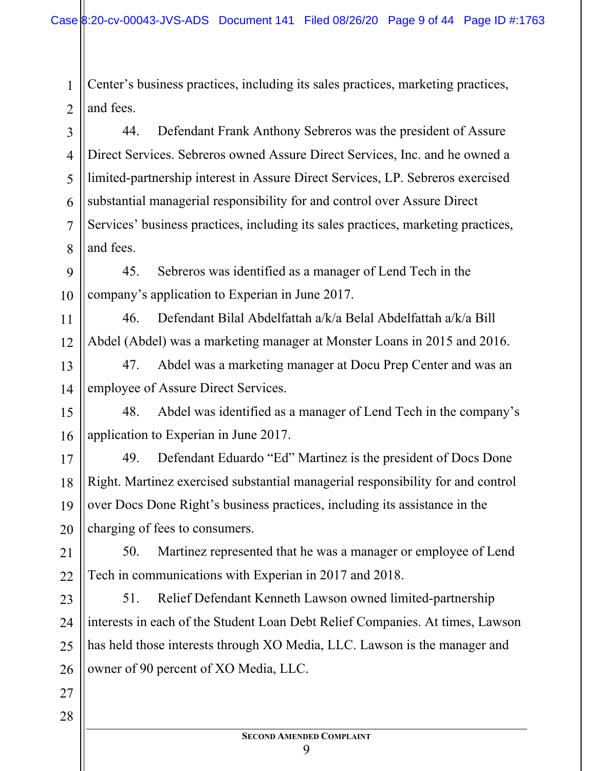Center's business practices, including its sales practices, marketing practices, and fees.

1

2

11

12

27

28

3 4 5 6 7 8 44. Defendant Frank Anthony Sebreros was the president of Assure Direct Services. Sebreros owned Assure Direct Services, Inc. and he owned a limited-partnership interest in Assure Direct Services, LP. Sebreros exercised substantial managerial responsibility for and control over Assure Direct Services' business practices, including its sales practices, marketing practices, and fees.

9 10 45. Sebreros was identified as a manager of Lend Tech in the company's application to Experian in June 2017.

46. Defendant Bilal Abdelfattah a/k/a Belal Abdelfattah a/k/a Bill Abdel (Abdel) was a marketing manager at Monster Loans in 2015 and 2016.

13 14 47. Abdel was a marketing manager at Docu Prep Center and was an employee of Assure Direct Services.

15 16 48. Abdel was identified as a manager of Lend Tech in the company's application to Experian in June 2017.

17 18 19 20 49. Defendant Eduardo "Ed" Martinez is the president of Docs Done Right. Martinez exercised substantial managerial responsibility for and control over Docs Done Right's business practices, including its assistance in the charging of fees to consumers.

21 22 50. Martinez represented that he was a manager or employee of Lend Tech in communications with Experian in 2017 and 2018.

23 24 25 26 51. Relief Defendant Kenneth Lawson owned limited-partnership interests in each of the Student Loan Debt Relief Companies. At times, Lawson has held those interests through XO Media, LLC. Lawson is the manager and owner of 90 percent of XO Media, LLC.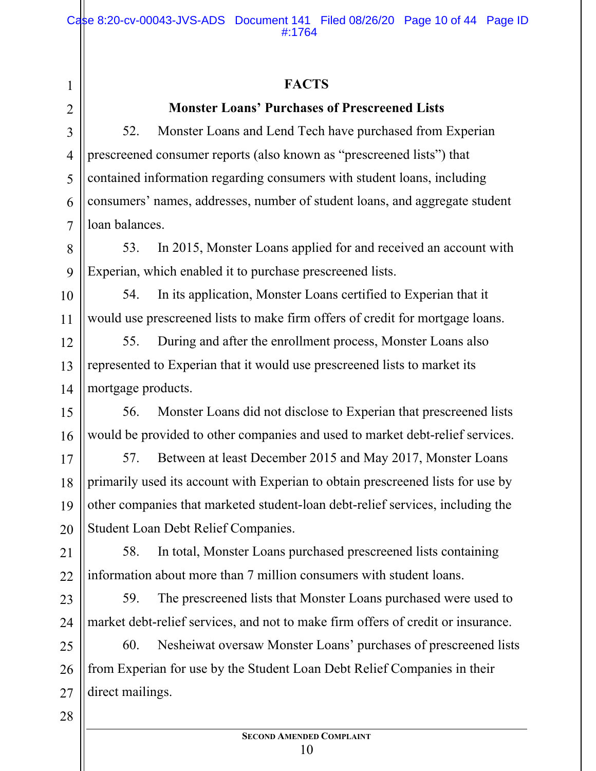#### **FACTS**

1

2

3

4

5

6

7

8

9

12

13

14

23

24

28

### **Monster Loans' Purchases of Prescreened Lists**

52. Monster Loans and Lend Tech have purchased from Experian prescreened consumer reports (also known as "prescreened lists") that contained information regarding consumers with student loans, including consumers' names, addresses, number of student loans, and aggregate student loan balances.

53. In 2015, Monster Loans applied for and received an account with Experian, which enabled it to purchase prescreened lists.

10 11 54. In its application, Monster Loans certified to Experian that it would use prescreened lists to make firm offers of credit for mortgage loans.

55. During and after the enrollment process, Monster Loans also represented to Experian that it would use prescreened lists to market its mortgage products.

15 16 56. Monster Loans did not disclose to Experian that prescreened lists would be provided to other companies and used to market debt-relief services.

17 18 19 20 57. Between at least December 2015 and May 2017, Monster Loans primarily used its account with Experian to obtain prescreened lists for use by other companies that marketed student-loan debt-relief services, including the Student Loan Debt Relief Companies.

21 22 58. In total, Monster Loans purchased prescreened lists containing information about more than 7 million consumers with student loans.

59. The prescreened lists that Monster Loans purchased were used to market debt-relief services, and not to make firm offers of credit or insurance.

25 26 27 60. Nesheiwat oversaw Monster Loans' purchases of prescreened lists from Experian for use by the Student Loan Debt Relief Companies in their direct mailings.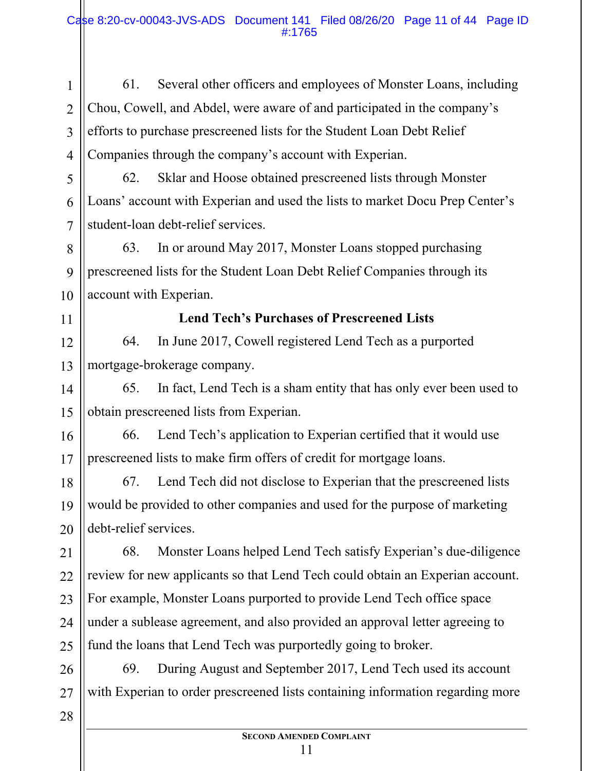2 3 4 61. Several other officers and employees of Monster Loans, including Chou, Cowell, and Abdel, were aware of and participated in the company's efforts to purchase prescreened lists for the Student Loan Debt Relief Companies through the company's account with Experian.

62. Sklar and Hoose obtained prescreened lists through Monster Loans' account with Experian and used the lists to market Docu Prep Center's student-loan debt-relief services.

63. In or around May 2017, Monster Loans stopped purchasing prescreened lists for the Student Loan Debt Relief Companies through its account with Experian.

#### 11

12

13

14

15

28

10

1

5

6

7

8

9

#### **Lend Tech's Purchases of Prescreened Lists**

64. In June 2017, Cowell registered Lend Tech as a purported mortgage-brokerage company.

65. In fact, Lend Tech is a sham entity that has only ever been used to obtain prescreened lists from Experian.

16 17 66. Lend Tech's application to Experian certified that it would use prescreened lists to make firm offers of credit for mortgage loans.

18 19 20 67. Lend Tech did not disclose to Experian that the prescreened lists would be provided to other companies and used for the purpose of marketing debt-relief services.

21 22 23 24 25 68. Monster Loans helped Lend Tech satisfy Experian's due-diligence review for new applicants so that Lend Tech could obtain an Experian account. For example, Monster Loans purported to provide Lend Tech office space under a sublease agreement, and also provided an approval letter agreeing to fund the loans that Lend Tech was purportedly going to broker.

26 27 69. During August and September 2017, Lend Tech used its account with Experian to order prescreened lists containing information regarding more

## **SECOND AMENDED COMPLAINT**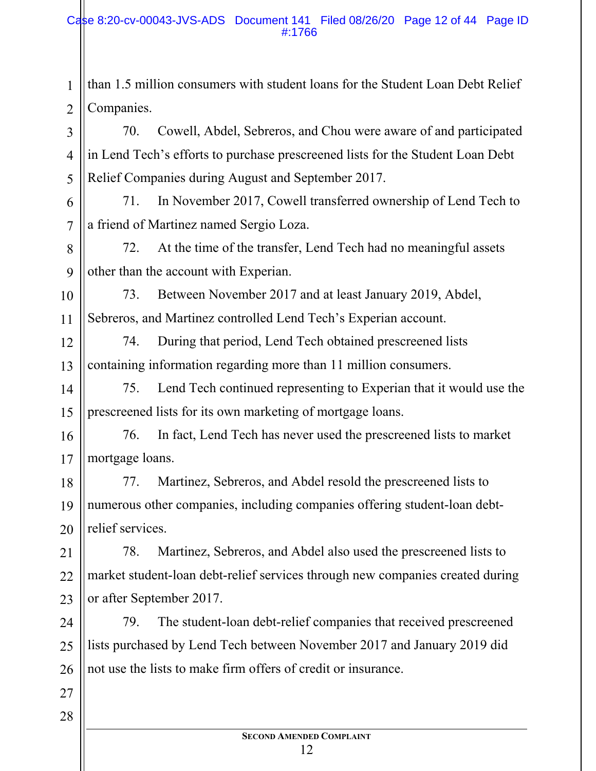2 than 1.5 million consumers with student loans for the Student Loan Debt Relief Companies.

70. Cowell, Abdel, Sebreros, and Chou were aware of and participated in Lend Tech's efforts to purchase prescreened lists for the Student Loan Debt Relief Companies during August and September 2017.

71. In November 2017, Cowell transferred ownership of Lend Tech to a friend of Martinez named Sergio Loza.

72. At the time of the transfer, Lend Tech had no meaningful assets other than the account with Experian.

10 11 73. Between November 2017 and at least January 2019, Abdel, Sebreros, and Martinez controlled Lend Tech's Experian account.

12 13 74. During that period, Lend Tech obtained prescreened lists containing information regarding more than 11 million consumers.

14 15 75. Lend Tech continued representing to Experian that it would use the prescreened lists for its own marketing of mortgage loans.

16 17 76. In fact, Lend Tech has never used the prescreened lists to market mortgage loans.

18 19 20 77. Martinez, Sebreros, and Abdel resold the prescreened lists to numerous other companies, including companies offering student-loan debtrelief services.

21 22 23 78. Martinez, Sebreros, and Abdel also used the prescreened lists to market student-loan debt-relief services through new companies created during or after September 2017.

24 25 26 79. The student-loan debt-relief companies that received prescreened lists purchased by Lend Tech between November 2017 and January 2019 did not use the lists to make firm offers of credit or insurance.

28

27

1

3

4

5

6

7

8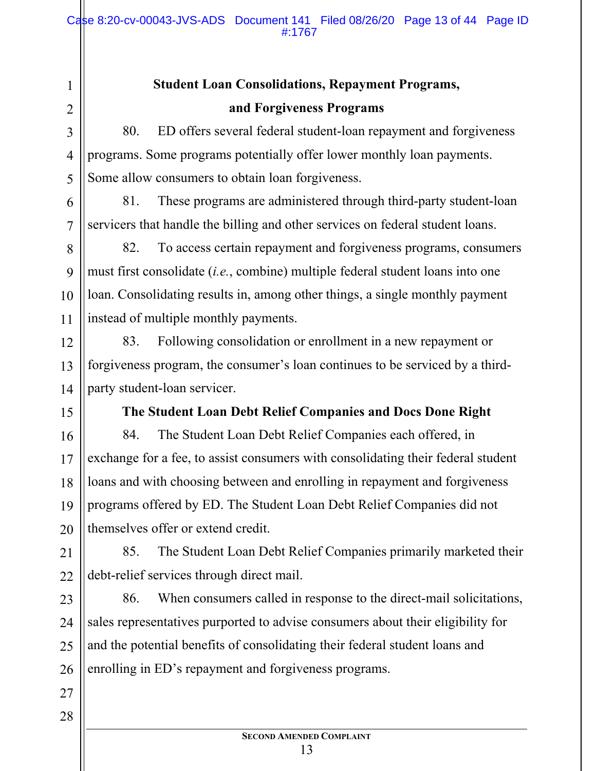#### Case 8:20-cv-00043-JVS-ADS Document 141 Filed 08/26/20 Page 13 of 44 Page ID #:1767

# **Student Loan Consolidations, Repayment Programs, and Forgiveness Programs**

80. ED offers several federal student-loan repayment and forgiveness programs. Some programs potentially offer lower monthly loan payments. Some allow consumers to obtain loan forgiveness.

81. These programs are administered through third-party student-loan servicers that handle the billing and other services on federal student loans.

82. To access certain repayment and forgiveness programs, consumers must first consolidate (*i.e.*, combine) multiple federal student loans into one loan. Consolidating results in, among other things, a single monthly payment instead of multiple monthly payments.

83. Following consolidation or enrollment in a new repayment or forgiveness program, the consumer's loan continues to be serviced by a thirdparty student-loan servicer.

**The Student Loan Debt Relief Companies and Docs Done Right**

84. The Student Loan Debt Relief Companies each offered, in exchange for a fee, to assist consumers with consolidating their federal student loans and with choosing between and enrolling in repayment and forgiveness programs offered by ED. The Student Loan Debt Relief Companies did not themselves offer or extend credit.

21 22 85. The Student Loan Debt Relief Companies primarily marketed their debt-relief services through direct mail.

23 24 25 26 86. When consumers called in response to the direct-mail solicitations, sales representatives purported to advise consumers about their eligibility for and the potential benefits of consolidating their federal student loans and enrolling in ED's repayment and forgiveness programs.

27

1

2

3

4

5

6

7

8

9

10

11

12

13

14

15

16

17

18

19

20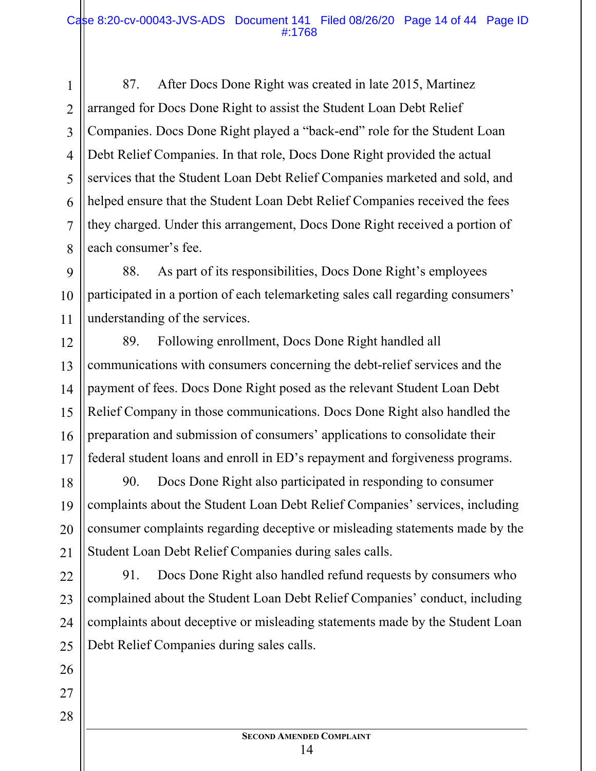87. After Docs Done Right was created in late 2015, Martinez arranged for Docs Done Right to assist the Student Loan Debt Relief Companies. Docs Done Right played a "back-end" role for the Student Loan Debt Relief Companies. In that role, Docs Done Right provided the actual services that the Student Loan Debt Relief Companies marketed and sold, and helped ensure that the Student Loan Debt Relief Companies received the fees they charged. Under this arrangement, Docs Done Right received a portion of each consumer's fee.

9 10 88. As part of its responsibilities, Docs Done Right's employees participated in a portion of each telemarketing sales call regarding consumers' understanding of the services.

89. Following enrollment, Docs Done Right handled all communications with consumers concerning the debt-relief services and the payment of fees. Docs Done Right posed as the relevant Student Loan Debt Relief Company in those communications. Docs Done Right also handled the preparation and submission of consumers' applications to consolidate their federal student loans and enroll in ED's repayment and forgiveness programs.

90. Docs Done Right also participated in responding to consumer complaints about the Student Loan Debt Relief Companies' services, including consumer complaints regarding deceptive or misleading statements made by the Student Loan Debt Relief Companies during sales calls.

91. Docs Done Right also handled refund requests by consumers who complained about the Student Loan Debt Relief Companies' conduct, including complaints about deceptive or misleading statements made by the Student Loan Debt Relief Companies during sales calls.

1

2

3

4

5

6

7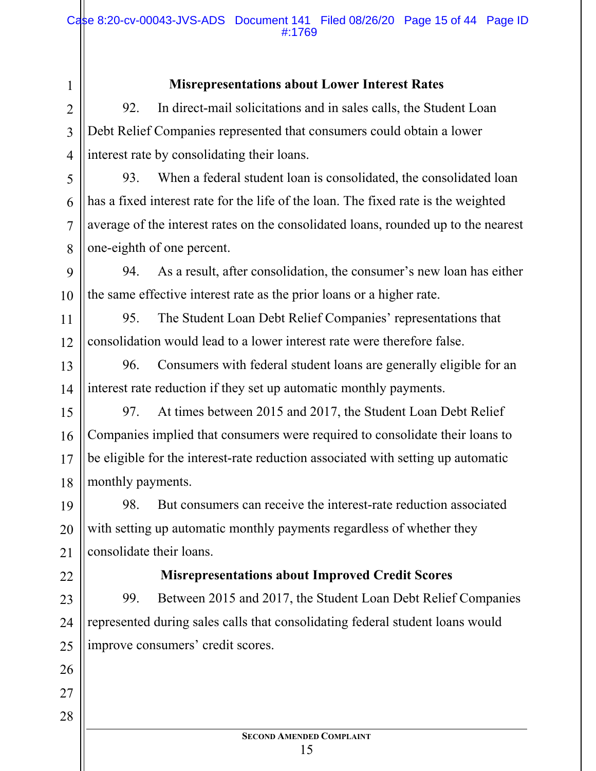#### **Misrepresentations about Lower Interest Rates**

92. In direct-mail solicitations and in sales calls, the Student Loan Debt Relief Companies represented that consumers could obtain a lower interest rate by consolidating their loans.

1

2

3

4

5

6

7

8

11

12

22

26

27

28

93. When a federal student loan is consolidated, the consolidated loan has a fixed interest rate for the life of the loan. The fixed rate is the weighted average of the interest rates on the consolidated loans, rounded up to the nearest one-eighth of one percent.

9 10 94. As a result, after consolidation, the consumer's new loan has either the same effective interest rate as the prior loans or a higher rate.

95. The Student Loan Debt Relief Companies' representations that consolidation would lead to a lower interest rate were therefore false.

13 14 96. Consumers with federal student loans are generally eligible for an interest rate reduction if they set up automatic monthly payments.

15 16 17 18 97. At times between 2015 and 2017, the Student Loan Debt Relief Companies implied that consumers were required to consolidate their loans to be eligible for the interest-rate reduction associated with setting up automatic monthly payments.

19 20 21 98. But consumers can receive the interest-rate reduction associated with setting up automatic monthly payments regardless of whether they consolidate their loans.

#### **Misrepresentations about Improved Credit Scores**

23 24 25 99. Between 2015 and 2017, the Student Loan Debt Relief Companies represented during sales calls that consolidating federal student loans would improve consumers' credit scores.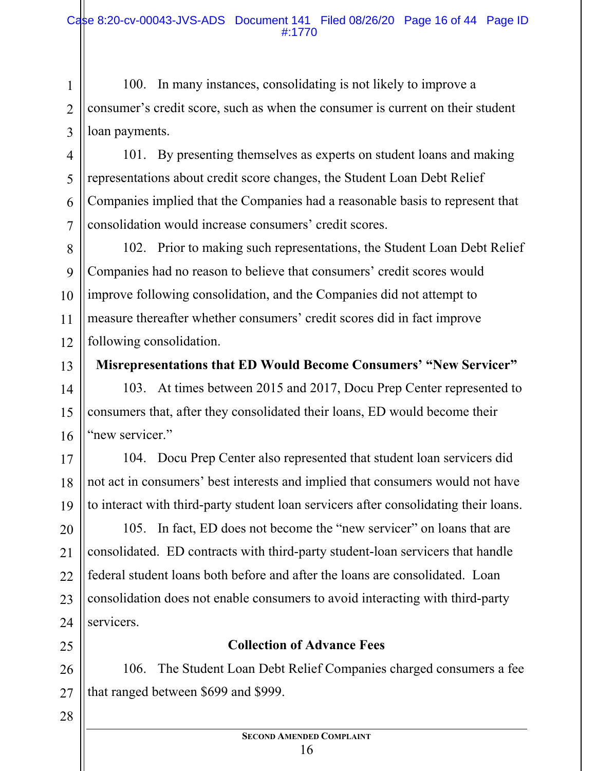100. In many instances, consolidating is not likely to improve a consumer's credit score, such as when the consumer is current on their student loan payments.

101. By presenting themselves as experts on student loans and making representations about credit score changes, the Student Loan Debt Relief Companies implied that the Companies had a reasonable basis to represent that consolidation would increase consumers' credit scores.

102. Prior to making such representations, the Student Loan Debt Relief Companies had no reason to believe that consumers' credit scores would improve following consolidation, and the Companies did not attempt to measure thereafter whether consumers' credit scores did in fact improve following consolidation.

**Misrepresentations that ED Would Become Consumers' "New Servicer"** 

103. At times between 2015 and 2017, Docu Prep Center represented to consumers that, after they consolidated their loans, ED would become their "new servicer."

104. Docu Prep Center also represented that student loan servicers did not act in consumers' best interests and implied that consumers would not have to interact with third-party student loan servicers after consolidating their loans.

105. In fact, ED does not become the "new servicer" on loans that are consolidated. ED contracts with third-party student-loan servicers that handle federal student loans both before and after the loans are consolidated. Loan consolidation does not enable consumers to avoid interacting with third-party servicers.

#### **Collection of Advance Fees**

106. The Student Loan Debt Relief Companies charged consumers a fee that ranged between \$699 and \$999.

28

1

2

3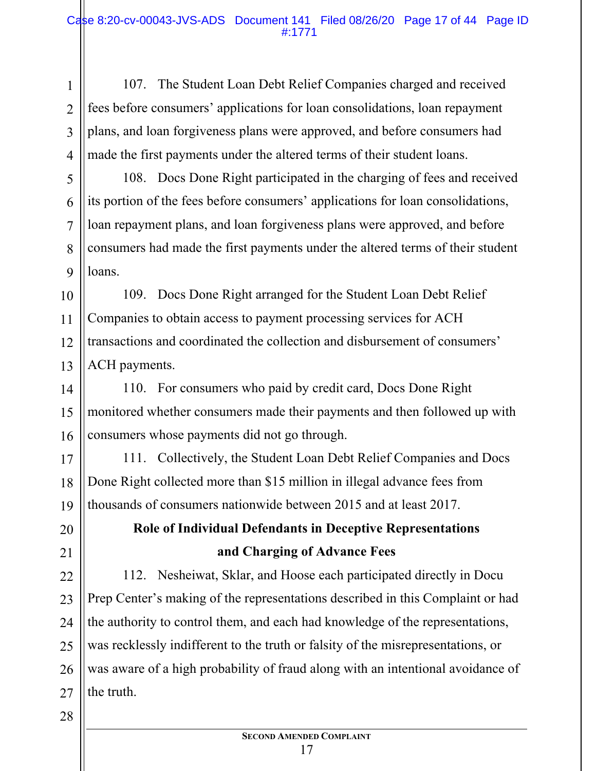107. The Student Loan Debt Relief Companies charged and received fees before consumers' applications for loan consolidations, loan repayment plans, and loan forgiveness plans were approved, and before consumers had made the first payments under the altered terms of their student loans.

108. Docs Done Right participated in the charging of fees and received its portion of the fees before consumers' applications for loan consolidations, loan repayment plans, and loan forgiveness plans were approved, and before consumers had made the first payments under the altered terms of their student loans.

109. Docs Done Right arranged for the Student Loan Debt Relief Companies to obtain access to payment processing services for ACH transactions and coordinated the collection and disbursement of consumers' ACH payments.

110. For consumers who paid by credit card, Docs Done Right monitored whether consumers made their payments and then followed up with consumers whose payments did not go through.

111. Collectively, the Student Loan Debt Relief Companies and Docs Done Right collected more than \$15 million in illegal advance fees from thousands of consumers nationwide between 2015 and at least 2017.

## **Role of Individual Defendants in Deceptive Representations and Charging of Advance Fees**

112. Nesheiwat, Sklar, and Hoose each participated directly in Docu Prep Center's making of the representations described in this Complaint or had the authority to control them, and each had knowledge of the representations, was recklessly indifferent to the truth or falsity of the misrepresentations, or was aware of a high probability of fraud along with an intentional avoidance of the truth.

1

2

3

4

5

6

7

**SECOND AMENDED COMPLAINT** 17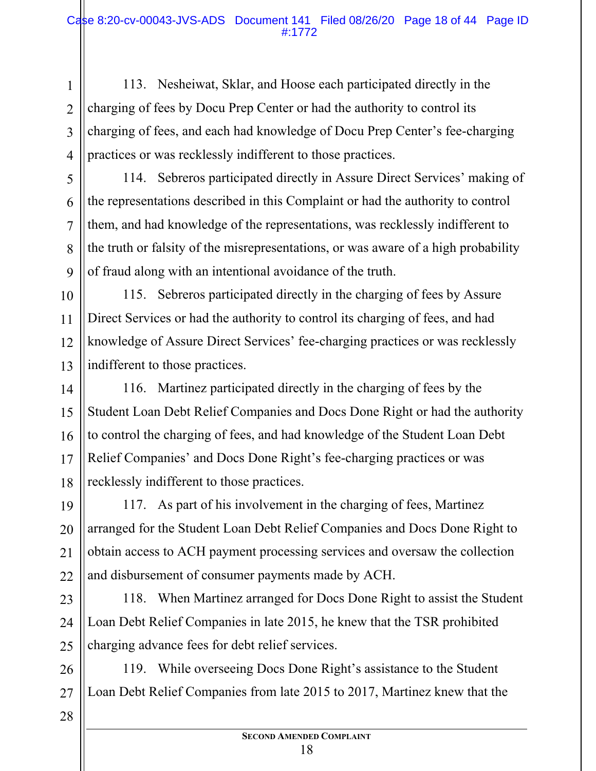113. Nesheiwat, Sklar, and Hoose each participated directly in the charging of fees by Docu Prep Center or had the authority to control its charging of fees, and each had knowledge of Docu Prep Center's fee-charging practices or was recklessly indifferent to those practices.

114. Sebreros participated directly in Assure Direct Services' making of the representations described in this Complaint or had the authority to control them, and had knowledge of the representations, was recklessly indifferent to the truth or falsity of the misrepresentations, or was aware of a high probability of fraud along with an intentional avoidance of the truth.

10 11 12 13 115. Sebreros participated directly in the charging of fees by Assure Direct Services or had the authority to control its charging of fees, and had knowledge of Assure Direct Services' fee-charging practices or was recklessly indifferent to those practices.

116. Martinez participated directly in the charging of fees by the Student Loan Debt Relief Companies and Docs Done Right or had the authority to control the charging of fees, and had knowledge of the Student Loan Debt Relief Companies' and Docs Done Right's fee-charging practices or was recklessly indifferent to those practices.

19 20 21 22 117. As part of his involvement in the charging of fees, Martinez arranged for the Student Loan Debt Relief Companies and Docs Done Right to obtain access to ACH payment processing services and oversaw the collection and disbursement of consumer payments made by ACH.

23 24 25 118. When Martinez arranged for Docs Done Right to assist the Student Loan Debt Relief Companies in late 2015, he knew that the TSR prohibited charging advance fees for debt relief services.

26 27 119. While overseeing Docs Done Right's assistance to the Student Loan Debt Relief Companies from late 2015 to 2017, Martinez knew that the

1

2

3

4

5

6

7

8

9

14

15

16

17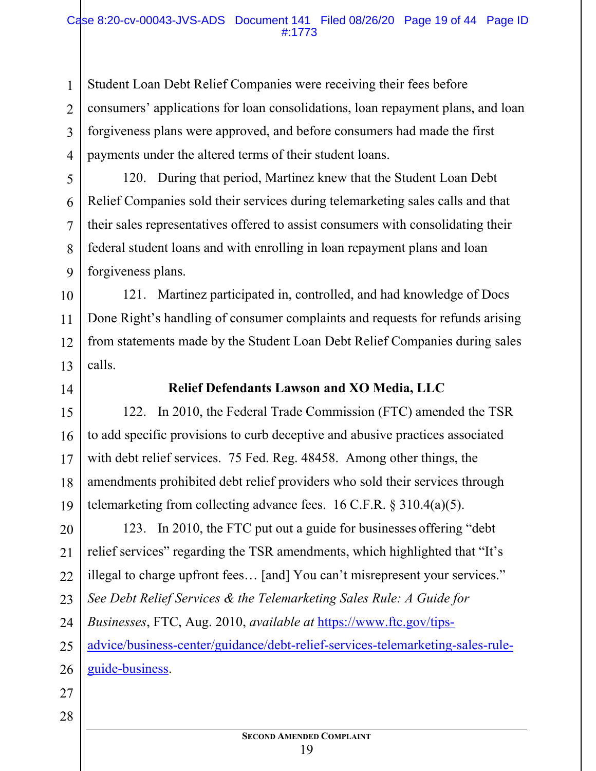Student Loan Debt Relief Companies were receiving their fees before consumers' applications for loan consolidations, loan repayment plans, and loan forgiveness plans were approved, and before consumers had made the first payments under the altered terms of their student loans.

120. During that period, Martinez knew that the Student Loan Debt Relief Companies sold their services during telemarketing sales calls and that their sales representatives offered to assist consumers with consolidating their federal student loans and with enrolling in loan repayment plans and loan forgiveness plans.

10 121. Martinez participated in, controlled, and had knowledge of Docs Done Right's handling of consumer complaints and requests for refunds arising from statements made by the Student Loan Debt Relief Companies during sales calls.

#### **Relief Defendants Lawson and XO Media, LLC**

122. In 2010, the Federal Trade Commission (FTC) amended the TSR to add specific provisions to curb deceptive and abusive practices associated with debt relief services. 75 Fed. Reg. 48458. Among other things, the amendments prohibited debt relief providers who sold their services through telemarketing from collecting advance fees. 16 C.F.R. § 310.4(a)(5).

123. In 2010, the FTC put out a guide for businesses offering "debt relief services" regarding the TSR amendments, which highlighted that "It's illegal to charge upfront fees… [and] You can't misrepresent your services." *See Debt Relief Services & the Telemarketing Sales Rule: A Guide for Businesses*, FTC, Aug. 2010, *available at* https://www.ftc.gov/tipsadvice/business-center/guidance/debt-relief-services-telemarketing-sales-ruleguide-business.

28

1

2

3

4

5

6

7

8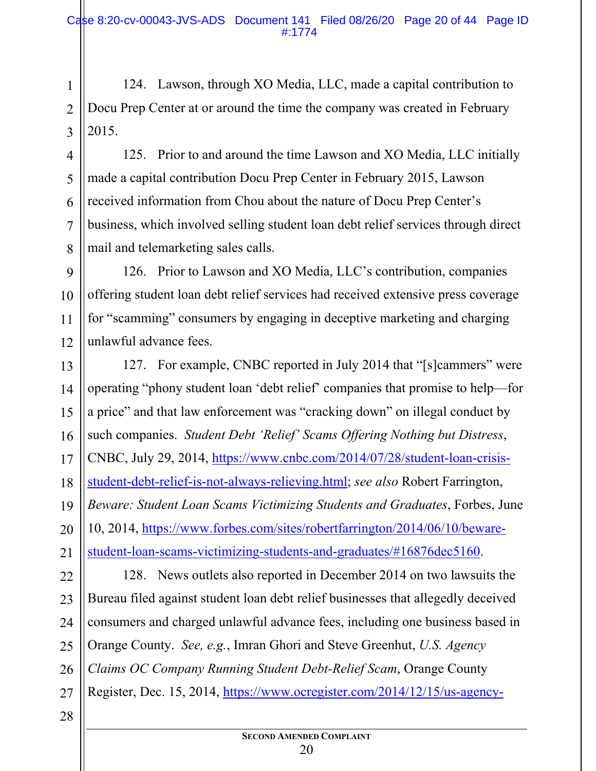3 124. Lawson, through XO Media, LLC, made a capital contribution to Docu Prep Center at or around the time the company was created in February 2015.

125. Prior to and around the time Lawson and XO Media, LLC initially made a capital contribution Docu Prep Center in February 2015, Lawson received information from Chou about the nature of Docu Prep Center's business, which involved selling student loan debt relief services through direct mail and telemarketing sales calls.

9 10 11 12 126. Prior to Lawson and XO Media, LLC's contribution, companies offering student loan debt relief services had received extensive press coverage for "scamming" consumers by engaging in deceptive marketing and charging unlawful advance fees.

13 14 15 16 17 18 19 20 21 127. For example, CNBC reported in July 2014 that "[s]cammers" were operating "phony student loan 'debt relief' companies that promise to help—for a price" and that law enforcement was "cracking down" on illegal conduct by such companies. *Student Debt 'Relief' Scams Offering Nothing but Distress*, CNBC, July 29, 2014, https://www.cnbc.com/2014/07/28/student-loan-crisisstudent-debt-relief-is-not-always-relieving.html; *see also* Robert Farrington, *Beware: Student Loan Scams Victimizing Students and Graduates*, Forbes, June 10, 2014, https://www.forbes.com/sites/robertfarrington/2014/06/10/bewarestudent-loan-scams-victimizing-students-and-graduates/#16876dec5160.

22 23 24 25 26 27 128. News outlets also reported in December 2014 on two lawsuits the Bureau filed against student loan debt relief businesses that allegedly deceived consumers and charged unlawful advance fees, including one business based in Orange County. *See, e.g.*, Imran Ghori and Steve Greenhut, *U.S. Agency Claims OC Company Running Student Debt-Relief Scam*, Orange County Register, Dec. 15, 2014, https://www.ocregister.com/2014/12/15/us-agency-

28

1

2

4

5

6

7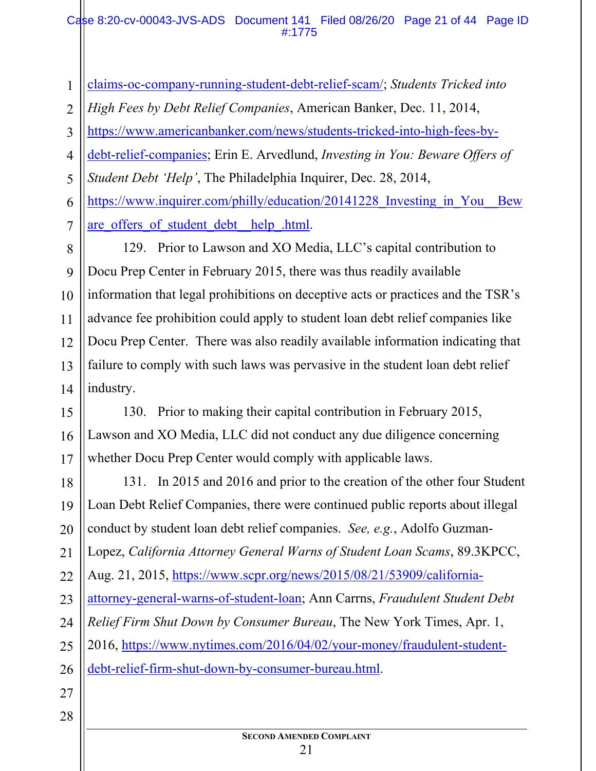#### Case 8:20-cv-00043-JVS-ADS Document 141 Filed 08/26/20 Page 21 of 44 Page ID #:1775

| $\mathbf{1}$   | claims-oc-company-running-student-debt-relief-scam/; Students Tricked into        |  |
|----------------|-----------------------------------------------------------------------------------|--|
| $\overline{2}$ | High Fees by Debt Relief Companies, American Banker, Dec. 11, 2014,               |  |
| 3              | https://www.americanbanker.com/news/students-tricked-into-high-fees-by-           |  |
| $\overline{4}$ | debt-relief-companies; Erin E. Arvedlund, Investing in You: Beware Offers of      |  |
| 5              | Student Debt 'Help', The Philadelphia Inquirer, Dec. 28, 2014,                    |  |
| 6              | https://www.inquirer.com/philly/education/20141228 Investing in You<br><b>Bew</b> |  |
| 7              | are offers of student debt help .html.                                            |  |
| 8              | 129. Prior to Lawson and XO Media, LLC's capital contribution to                  |  |
| 9              | Docu Prep Center in February 2015, there was thus readily available               |  |
| 10             | information that legal prohibitions on deceptive acts or practices and the TSR's  |  |
| 11             | advance fee prohibition could apply to student loan debt relief companies like    |  |
| 12             | Docu Prep Center. There was also readily available information indicating that    |  |
| 13             | failure to comply with such laws was pervasive in the student loan debt relief    |  |
| 14             | industry.                                                                         |  |
| 15             | 130. Prior to making their capital contribution in February 2015,                 |  |
| 16             | Lawson and XO Media, LLC did not conduct any due diligence concerning             |  |
| 17             | whether Docu Prep Center would comply with applicable laws.                       |  |
| 18             | 131. In 2015 and 2016 and prior to the creation of the other four Student         |  |
| 19             | Loan Debt Relief Companies, there were continued public reports about illegal     |  |
| 20             | conduct by student loan debt relief companies. See, e.g., Adolfo Guzman-          |  |
| 21             | Lopez, California Attorney General Warns of Student Loan Scams, 89.3KPCC,         |  |
| 22             | Aug. 21, 2015, https://www.scpr.org/news/2015/08/21/53909/california-             |  |
| 23             | attorney-general-warns-of-student-loan; Ann Carrns, Fraudulent Student Debt       |  |
| 24             | Relief Firm Shut Down by Consumer Bureau, The New York Times, Apr. 1,             |  |
| 25             | 2016, https://www.nytimes.com/2016/04/02/your-money/fraudulent-student-           |  |
| 26             | debt-relief-firm-shut-down-by-consumer-bureau.html.                               |  |
| 27             |                                                                                   |  |
| 28             |                                                                                   |  |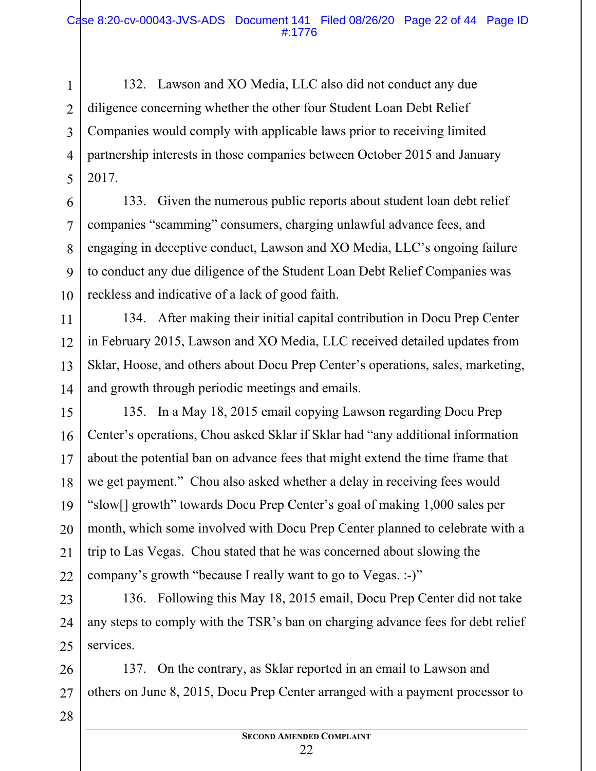1 2 3 132. Lawson and XO Media, LLC also did not conduct any due diligence concerning whether the other four Student Loan Debt Relief Companies would comply with applicable laws prior to receiving limited partnership interests in those companies between October 2015 and January 2017.

133. Given the numerous public reports about student loan debt relief companies "scamming" consumers, charging unlawful advance fees, and engaging in deceptive conduct, Lawson and XO Media, LLC's ongoing failure to conduct any due diligence of the Student Loan Debt Relief Companies was reckless and indicative of a lack of good faith.

134. After making their initial capital contribution in Docu Prep Center in February 2015, Lawson and XO Media, LLC received detailed updates from Sklar, Hoose, and others about Docu Prep Center's operations, sales, marketing, and growth through periodic meetings and emails.

135. In a May 18, 2015 email copying Lawson regarding Docu Prep Center's operations, Chou asked Sklar if Sklar had "any additional information about the potential ban on advance fees that might extend the time frame that we get payment." Chou also asked whether a delay in receiving fees would "slow[] growth" towards Docu Prep Center's goal of making 1,000 sales per month, which some involved with Docu Prep Center planned to celebrate with a trip to Las Vegas. Chou stated that he was concerned about slowing the company's growth "because I really want to go to Vegas. :-)"

136. Following this May 18, 2015 email, Docu Prep Center did not take any steps to comply with the TSR's ban on charging advance fees for debt relief services.

26 27 137. On the contrary, as Sklar reported in an email to Lawson and others on June 8, 2015, Docu Prep Center arranged with a payment processor to

28

**SECOND AMENDED COMPLAINT** 22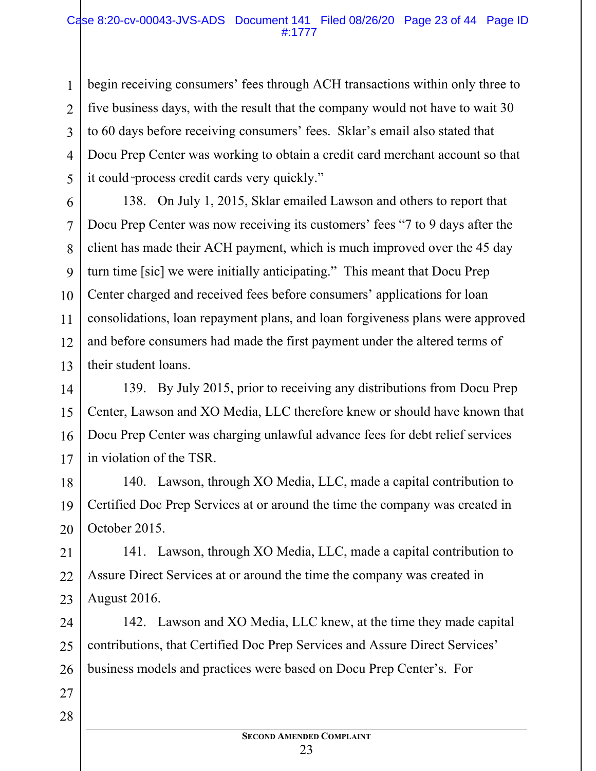#### Case 8:20-cv-00043-JVS-ADS Document 141 Filed 08/26/20 Page 23 of 44 Page ID #:1777

begin receiving consumers' fees through ACH transactions within only three to five business days, with the result that the company would not have to wait 30 to 60 days before receiving consumers' fees. Sklar's email also stated that Docu Prep Center was working to obtain a credit card merchant account so that it could "process credit cards very quickly."

13 138. On July 1, 2015, Sklar emailed Lawson and others to report that Docu Prep Center was now receiving its customers' fees "7 to 9 days after the client has made their ACH payment, which is much improved over the 45 day turn time [sic] we were initially anticipating." This meant that Docu Prep Center charged and received fees before consumers' applications for loan consolidations, loan repayment plans, and loan forgiveness plans were approved and before consumers had made the first payment under the altered terms of their student loans.

14 15 16 17 139. By July 2015, prior to receiving any distributions from Docu Prep Center, Lawson and XO Media, LLC therefore knew or should have known that Docu Prep Center was charging unlawful advance fees for debt relief services in violation of the TSR.

18 19 20 140. Lawson, through XO Media, LLC, made a capital contribution to Certified Doc Prep Services at or around the time the company was created in October 2015.

21 22 23 141. Lawson, through XO Media, LLC, made a capital contribution to Assure Direct Services at or around the time the company was created in August 2016.

24 25 26 142. Lawson and XO Media, LLC knew, at the time they made capital contributions, that Certified Doc Prep Services and Assure Direct Services' business models and practices were based on Docu Prep Center's. For

27 28

1

2

3

4

5

6

7

8

9

10

11

12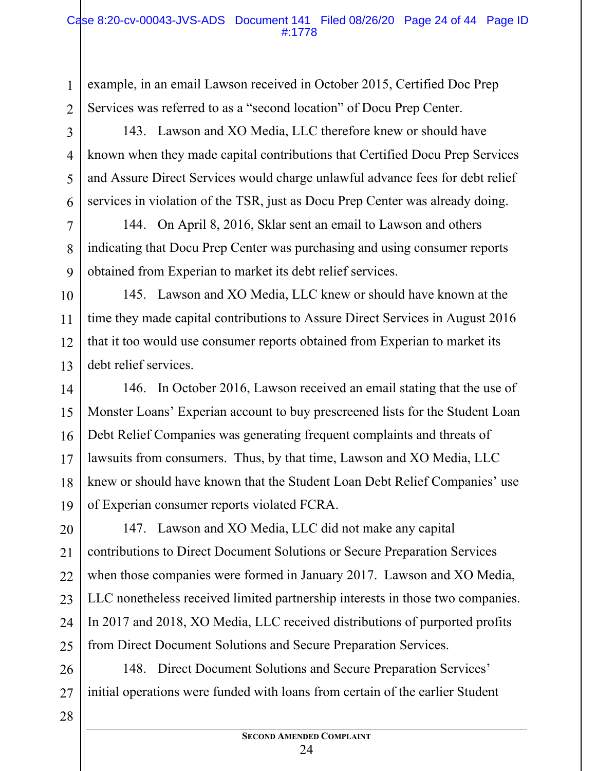example, in an email Lawson received in October 2015, Certified Doc Prep Services was referred to as a "second location" of Docu Prep Center.

143. Lawson and XO Media, LLC therefore knew or should have known when they made capital contributions that Certified Docu Prep Services and Assure Direct Services would charge unlawful advance fees for debt relief services in violation of the TSR, just as Docu Prep Center was already doing.

144. On April 8, 2016, Sklar sent an email to Lawson and others indicating that Docu Prep Center was purchasing and using consumer reports obtained from Experian to market its debt relief services.

145. Lawson and XO Media, LLC knew or should have known at the time they made capital contributions to Assure Direct Services in August 2016 that it too would use consumer reports obtained from Experian to market its debt relief services.

146. In October 2016, Lawson received an email stating that the use of Monster Loans' Experian account to buy prescreened lists for the Student Loan Debt Relief Companies was generating frequent complaints and threats of lawsuits from consumers. Thus, by that time, Lawson and XO Media, LLC knew or should have known that the Student Loan Debt Relief Companies' use of Experian consumer reports violated FCRA.

147. Lawson and XO Media, LLC did not make any capital contributions to Direct Document Solutions or Secure Preparation Services when those companies were formed in January 2017. Lawson and XO Media, LLC nonetheless received limited partnership interests in those two companies. In 2017 and 2018, XO Media, LLC received distributions of purported profits from Direct Document Solutions and Secure Preparation Services.

148. Direct Document Solutions and Secure Preparation Services' initial operations were funded with loans from certain of the earlier Student

1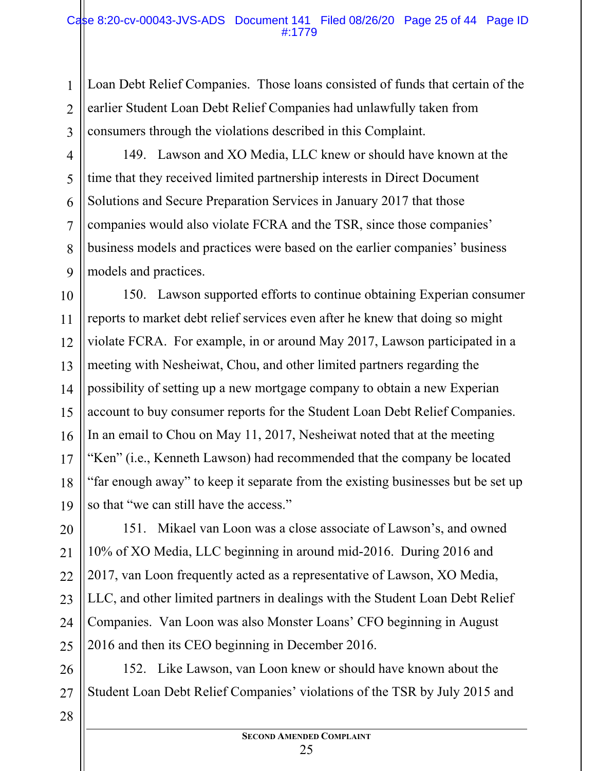Loan Debt Relief Companies. Those loans consisted of funds that certain of the earlier Student Loan Debt Relief Companies had unlawfully taken from consumers through the violations described in this Complaint.

4 5 6 7 8 9 149. Lawson and XO Media, LLC knew or should have known at the time that they received limited partnership interests in Direct Document Solutions and Secure Preparation Services in January 2017 that those companies would also violate FCRA and the TSR, since those companies' business models and practices were based on the earlier companies' business models and practices.

10 11 12 13 14 15 16 17 18 19 150. Lawson supported efforts to continue obtaining Experian consumer reports to market debt relief services even after he knew that doing so might violate FCRA. For example, in or around May 2017, Lawson participated in a meeting with Nesheiwat, Chou, and other limited partners regarding the possibility of setting up a new mortgage company to obtain a new Experian account to buy consumer reports for the Student Loan Debt Relief Companies. In an email to Chou on May 11, 2017, Nesheiwat noted that at the meeting "Ken" (i.e., Kenneth Lawson) had recommended that the company be located "far enough away" to keep it separate from the existing businesses but be set up so that "we can still have the access."

20 21 22 23 24 25 151. Mikael van Loon was a close associate of Lawson's, and owned 10% of XO Media, LLC beginning in around mid-2016. During 2016 and 2017, van Loon frequently acted as a representative of Lawson, XO Media, LLC, and other limited partners in dealings with the Student Loan Debt Relief Companies. Van Loon was also Monster Loans' CFO beginning in August 2016 and then its CEO beginning in December 2016.

26 27 152. Like Lawson, van Loon knew or should have known about the Student Loan Debt Relief Companies' violations of the TSR by July 2015 and

28

1

2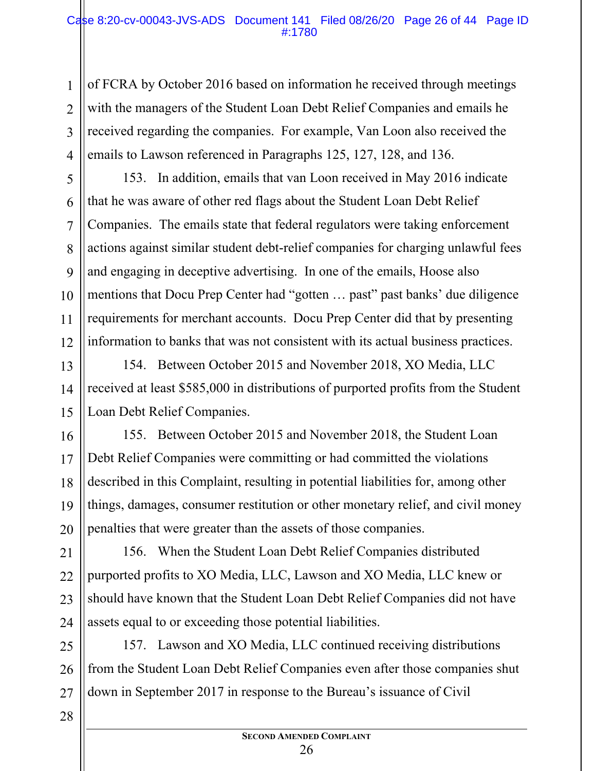#### Case 8:20-cv-00043-JVS-ADS Document 141 Filed 08/26/20 Page 26 of 44 Page ID #:1780

of FCRA by October 2016 based on information he received through meetings with the managers of the Student Loan Debt Relief Companies and emails he received regarding the companies. For example, Van Loon also received the emails to Lawson referenced in Paragraphs 125, 127, 128, and 136.

153. In addition, emails that van Loon received in May 2016 indicate that he was aware of other red flags about the Student Loan Debt Relief Companies. The emails state that federal regulators were taking enforcement actions against similar student debt-relief companies for charging unlawful fees and engaging in deceptive advertising. In one of the emails, Hoose also mentions that Docu Prep Center had "gotten … past" past banks' due diligence requirements for merchant accounts. Docu Prep Center did that by presenting information to banks that was not consistent with its actual business practices.

154. Between October 2015 and November 2018, XO Media, LLC received at least \$585,000 in distributions of purported profits from the Student Loan Debt Relief Companies.

16 17 18 19 20 155. Between October 2015 and November 2018, the Student Loan Debt Relief Companies were committing or had committed the violations described in this Complaint, resulting in potential liabilities for, among other things, damages, consumer restitution or other monetary relief, and civil money penalties that were greater than the assets of those companies.

21 22 23 24 156. When the Student Loan Debt Relief Companies distributed purported profits to XO Media, LLC, Lawson and XO Media, LLC knew or should have known that the Student Loan Debt Relief Companies did not have assets equal to or exceeding those potential liabilities.

25 26 27 157. Lawson and XO Media, LLC continued receiving distributions from the Student Loan Debt Relief Companies even after those companies shut down in September 2017 in response to the Bureau's issuance of Civil

28

1

2

3

4

5

6

7

8

9

10

11

12

13

14

15

**SECOND AMENDED COMPLAINT** 26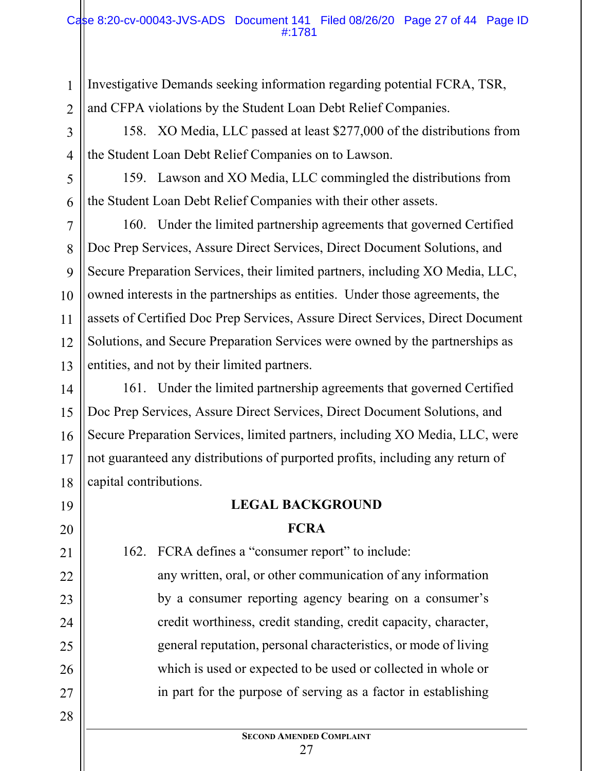#### Case 8:20-cv-00043-JVS-ADS Document 141 Filed 08/26/20 Page 27 of 44 Page ID #:1781

Investigative Demands seeking information regarding potential FCRA, TSR, and CFPA violations by the Student Loan Debt Relief Companies.

1

2

3

4

5

6

7

8

9

10

11

12

13

19

20

21

22

23

24

25

26

27

28

158. XO Media, LLC passed at least \$277,000 of the distributions from the Student Loan Debt Relief Companies on to Lawson.

159. Lawson and XO Media, LLC commingled the distributions from the Student Loan Debt Relief Companies with their other assets.

160. Under the limited partnership agreements that governed Certified Doc Prep Services, Assure Direct Services, Direct Document Solutions, and Secure Preparation Services, their limited partners, including XO Media, LLC, owned interests in the partnerships as entities. Under those agreements, the assets of Certified Doc Prep Services, Assure Direct Services, Direct Document Solutions, and Secure Preparation Services were owned by the partnerships as entities, and not by their limited partners.

14 15 16 17 18 161. Under the limited partnership agreements that governed Certified Doc Prep Services, Assure Direct Services, Direct Document Solutions, and Secure Preparation Services, limited partners, including XO Media, LLC, were not guaranteed any distributions of purported profits, including any return of capital contributions.

#### **LEGAL BACKGROUND**

#### **FCRA**

162. FCRA defines a "consumer report" to include:

any written, oral, or other communication of any information by a consumer reporting agency bearing on a consumer's credit worthiness, credit standing, credit capacity, character, general reputation, personal characteristics, or mode of living which is used or expected to be used or collected in whole or in part for the purpose of serving as a factor in establishing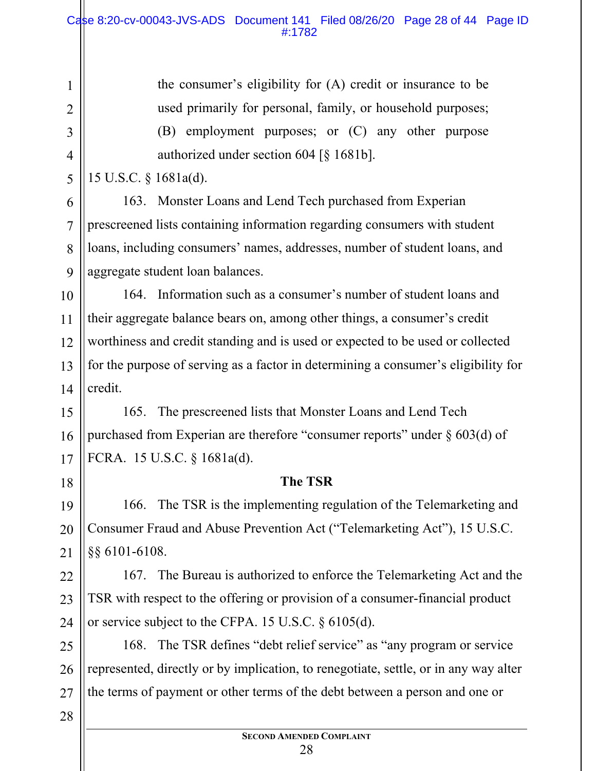the consumer's eligibility for (A) credit or insurance to be used primarily for personal, family, or household purposes; (B) employment purposes; or (C) any other purpose authorized under section 604 [§ 1681b].

15 U.S.C. § 1681a(d).

1

2

3

4

5

6

7

8

9

18

19

20

21

28

163. Monster Loans and Lend Tech purchased from Experian prescreened lists containing information regarding consumers with student loans, including consumers' names, addresses, number of student loans, and aggregate student loan balances.

10 11 12 13 14 164. Information such as a consumer's number of student loans and their aggregate balance bears on, among other things, a consumer's credit worthiness and credit standing and is used or expected to be used or collected for the purpose of serving as a factor in determining a consumer's eligibility for credit.

15 16 17 165. The prescreened lists that Monster Loans and Lend Tech purchased from Experian are therefore "consumer reports" under  $\S$  603(d) of FCRA. 15 U.S.C. § 1681a(d).

#### **The TSR**

166. The TSR is the implementing regulation of the Telemarketing and Consumer Fraud and Abuse Prevention Act ("Telemarketing Act"), 15 U.S.C. §§ 6101-6108.

22 23 24 167. The Bureau is authorized to enforce the Telemarketing Act and the TSR with respect to the offering or provision of a consumer-financial product or service subject to the CFPA. 15 U.S.C. § 6105(d).

25 26 27 168. The TSR defines "debt relief service" as "any program or service represented, directly or by implication, to renegotiate, settle, or in any way alter the terms of payment or other terms of the debt between a person and one or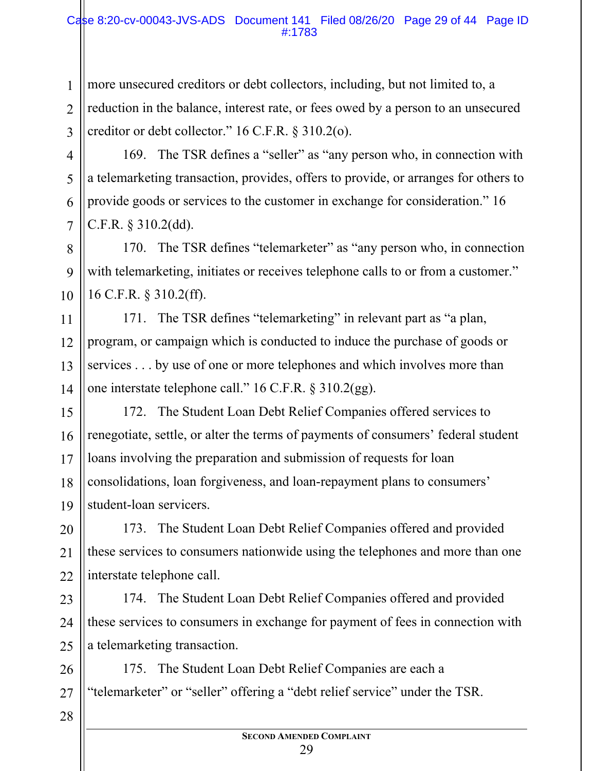more unsecured creditors or debt collectors, including, but not limited to, a reduction in the balance, interest rate, or fees owed by a person to an unsecured creditor or debt collector." 16 C.F.R. § 310.2(o).

169. The TSR defines a "seller" as "any person who, in connection with a telemarketing transaction, provides, offers to provide, or arranges for others to provide goods or services to the customer in exchange for consideration." 16 C.F.R. § 310.2(dd).

170. The TSR defines "telemarketer" as "any person who, in connection with telemarketing, initiates or receives telephone calls to or from a customer." 16 C.F.R. § 310.2(ff).

171. The TSR defines "telemarketing" in relevant part as "a plan, program, or campaign which is conducted to induce the purchase of goods or services . . . by use of one or more telephones and which involves more than one interstate telephone call." 16 C.F.R. § 310.2(gg).

15 16 17 18 19 172. The Student Loan Debt Relief Companies offered services to renegotiate, settle, or alter the terms of payments of consumers' federal student loans involving the preparation and submission of requests for loan consolidations, loan forgiveness, and loan-repayment plans to consumers' student-loan servicers.

20 21 22 173. The Student Loan Debt Relief Companies offered and provided these services to consumers nationwide using the telephones and more than one interstate telephone call.

23 24 25 174. The Student Loan Debt Relief Companies offered and provided these services to consumers in exchange for payment of fees in connection with a telemarketing transaction.

26 27 175. The Student Loan Debt Relief Companies are each a "telemarketer" or "seller" offering a "debt relief service" under the TSR.

1

2

3

4

5

6

7

8

9

10

11

12

13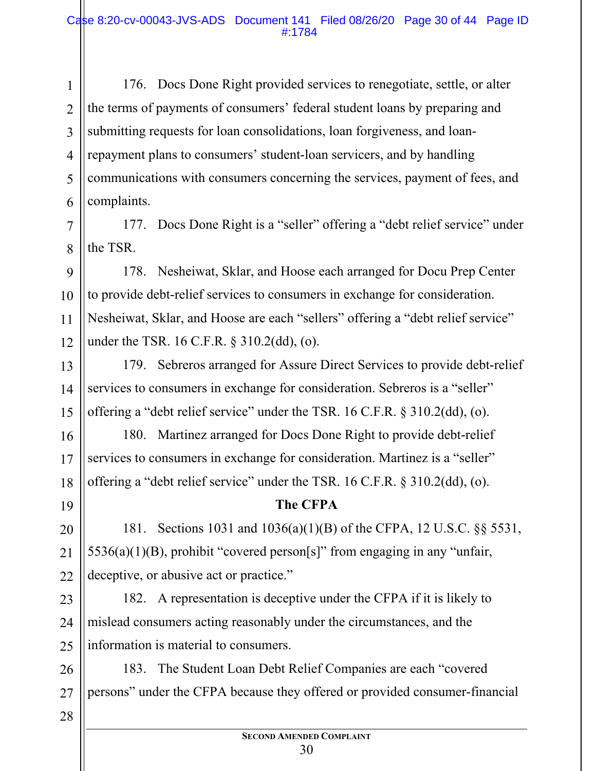1 2 3 4 5 6 176. Docs Done Right provided services to renegotiate, settle, or alter the terms of payments of consumers' federal student loans by preparing and submitting requests for loan consolidations, loan forgiveness, and loanrepayment plans to consumers' student-loan servicers, and by handling communications with consumers concerning the services, payment of fees, and complaints.

177. Docs Done Right is a "seller" offering a "debt relief service" under the TSR.

9 10 12 178. Nesheiwat, Sklar, and Hoose each arranged for Docu Prep Center to provide debt-relief services to consumers in exchange for consideration. Nesheiwat, Sklar, and Hoose are each "sellers" offering a "debt relief service" under the TSR. 16 C.F.R. § 310.2(dd), (o).

13 14 15 179. Sebreros arranged for Assure Direct Services to provide debt-relief services to consumers in exchange for consideration. Sebreros is a "seller" offering a "debt relief service" under the TSR. 16 C.F.R. § 310.2(dd), (o).

180. Martinez arranged for Docs Done Right to provide debt-relief services to consumers in exchange for consideration. Martinez is a "seller" offering a "debt relief service" under the TSR. 16 C.F.R. § 310.2(dd), (o).

19

20

21

22

16

17

18

7

8

11

#### **The CFPA**

181. Sections 1031 and 1036(a)(1)(B) of the CFPA, 12 U.S.C. §§ 5531,  $5536(a)(1)(B)$ , prohibit "covered person[s]" from engaging in any "unfair, deceptive, or abusive act or practice."

23 24 25 182. A representation is deceptive under the CFPA if it is likely to mislead consumers acting reasonably under the circumstances, and the information is material to consumers.

26 27 183. The Student Loan Debt Relief Companies are each "covered persons" under the CFPA because they offered or provided consumer-financial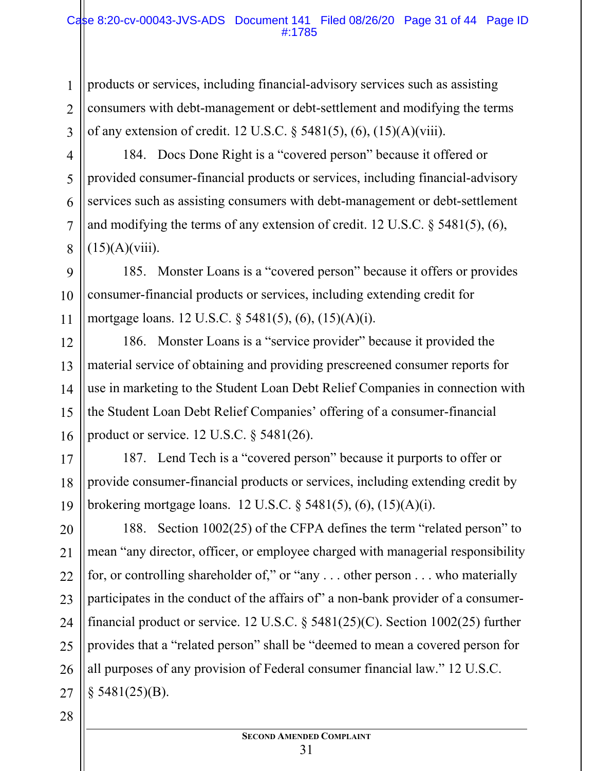products or services, including financial-advisory services such as assisting consumers with debt-management or debt-settlement and modifying the terms of any extension of credit. 12 U.S.C. § 5481(5), (6), (15)(A)(viii).

184. Docs Done Right is a "covered person" because it offered or provided consumer-financial products or services, including financial-advisory services such as assisting consumers with debt-management or debt-settlement and modifying the terms of any extension of credit. 12 U.S.C. § 5481(5), (6),  $(15)(A)(viii)$ .

9 10 11 185. Monster Loans is a "covered person" because it offers or provides consumer-financial products or services, including extending credit for mortgage loans. 12 U.S.C. § 5481(5), (6), (15)(A)(i).

186. Monster Loans is a "service provider" because it provided the material service of obtaining and providing prescreened consumer reports for use in marketing to the Student Loan Debt Relief Companies in connection with the Student Loan Debt Relief Companies' offering of a consumer-financial product or service. 12 U.S.C. § 5481(26).

17 18 19 187. Lend Tech is a "covered person" because it purports to offer or provide consumer-financial products or services, including extending credit by brokering mortgage loans. 12 U.S.C. § 5481(5), (6), (15)(A)(i).

20 21 22 188. Section 1002(25) of the CFPA defines the term "related person" to mean "any director, officer, or employee charged with managerial responsibility for, or controlling shareholder of," or "any . . . other person . . . who materially participates in the conduct of the affairs of" a non-bank provider of a consumerfinancial product or service. 12 U.S.C. § 5481(25)(C). Section 1002(25) further provides that a "related person" shall be "deemed to mean a covered person for all purposes of any provision of Federal consumer financial law." 12 U.S.C.  $§$  5481(25)(B).

1

2

3

4

5

6

7

8

12

13

14

15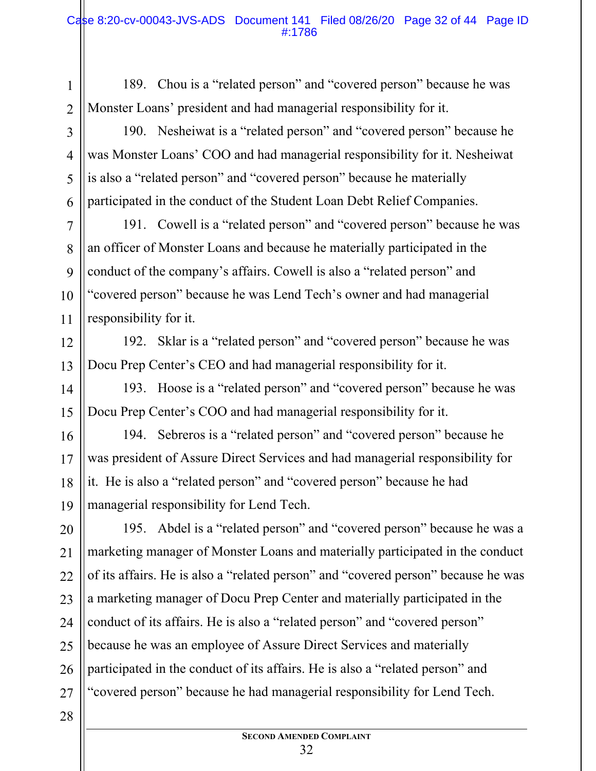189. Chou is a "related person" and "covered person" because he was Monster Loans' president and had managerial responsibility for it.

190. Nesheiwat is a "related person" and "covered person" because he was Monster Loans' COO and had managerial responsibility for it. Nesheiwat is also a "related person" and "covered person" because he materially participated in the conduct of the Student Loan Debt Relief Companies.

191. Cowell is a "related person" and "covered person" because he was an officer of Monster Loans and because he materially participated in the conduct of the company's affairs. Cowell is also a "related person" and "covered person" because he was Lend Tech's owner and had managerial responsibility for it.

12 13

14

15

16

17

18

19

1

2

3

4

5

6

7

8

9

10

11

192. Sklar is a "related person" and "covered person" because he was Docu Prep Center's CEO and had managerial responsibility for it.

193. Hoose is a "related person" and "covered person" because he was Docu Prep Center's COO and had managerial responsibility for it.

194. Sebreros is a "related person" and "covered person" because he was president of Assure Direct Services and had managerial responsibility for it. He is also a "related person" and "covered person" because he had managerial responsibility for Lend Tech.

20 21 22 23 24 25 26 27 195. Abdel is a "related person" and "covered person" because he was a marketing manager of Monster Loans and materially participated in the conduct of its affairs. He is also a "related person" and "covered person" because he was a marketing manager of Docu Prep Center and materially participated in the conduct of its affairs. He is also a "related person" and "covered person" because he was an employee of Assure Direct Services and materially participated in the conduct of its affairs. He is also a "related person" and "covered person" because he had managerial responsibility for Lend Tech.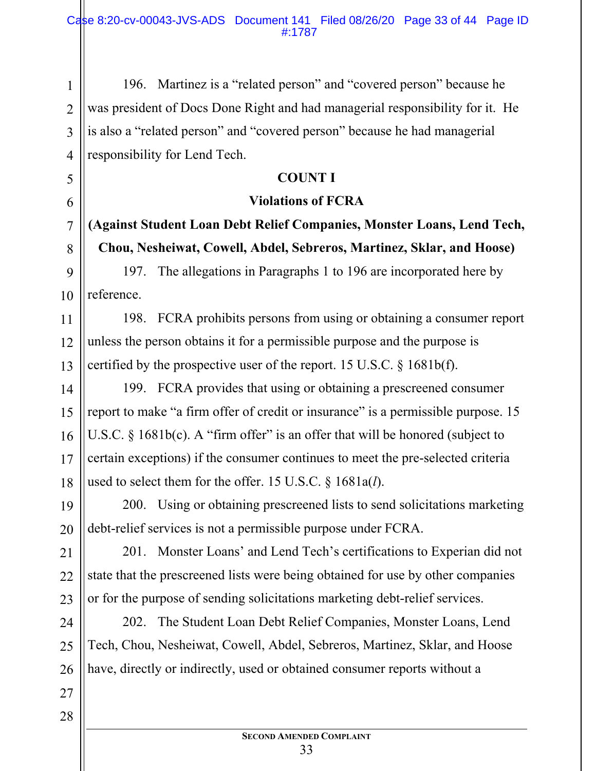196. Martinez is a "related person" and "covered person" because he was president of Docs Done Right and had managerial responsibility for it. He is also a "related person" and "covered person" because he had managerial responsibility for Lend Tech.

## **COUNT I**

#### **Violations of FCRA**

**(Against Student Loan Debt Relief Companies, Monster Loans, Lend Tech, Chou, Nesheiwat, Cowell, Abdel, Sebreros, Martinez, Sklar, and Hoose)** 

197. The allegations in Paragraphs 1 to 196 are incorporated here by reference.

198. FCRA prohibits persons from using or obtaining a consumer report unless the person obtains it for a permissible purpose and the purpose is certified by the prospective user of the report. 15 U.S.C. § 1681b(f).

199. FCRA provides that using or obtaining a prescreened consumer report to make "a firm offer of credit or insurance" is a permissible purpose. 15 U.S.C.  $\S$  1681b(c). A "firm offer" is an offer that will be honored (subject to certain exceptions) if the consumer continues to meet the pre-selected criteria used to select them for the offer. 15 U.S.C. § 1681a(*l*).

200. Using or obtaining prescreened lists to send solicitations marketing debt-relief services is not a permissible purpose under FCRA.

201. Monster Loans' and Lend Tech's certifications to Experian did not state that the prescreened lists were being obtained for use by other companies or for the purpose of sending solicitations marketing debt-relief services.

202. The Student Loan Debt Relief Companies, Monster Loans, Lend Tech, Chou, Nesheiwat, Cowell, Abdel, Sebreros, Martinez, Sklar, and Hoose have, directly or indirectly, used or obtained consumer reports without a

28

1

2

3

4

5

6

7

8

9

10

11

12

13

14

15

16

17

18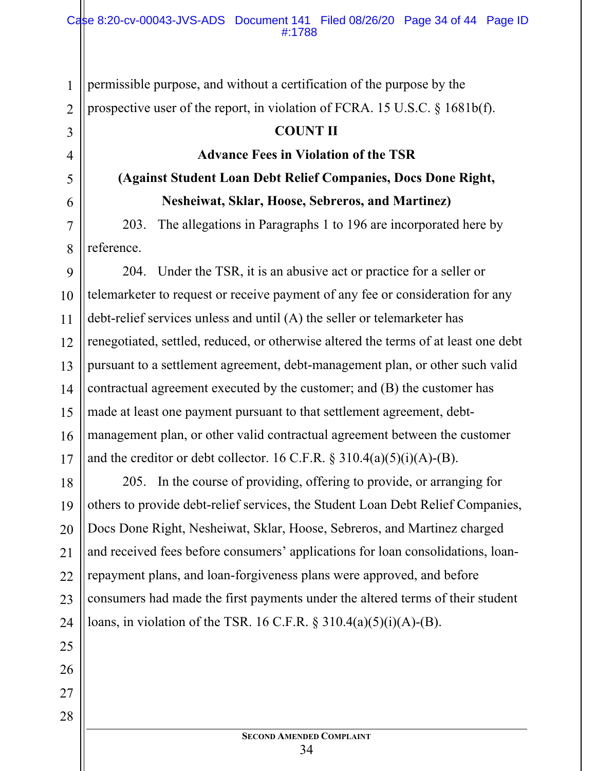permissible purpose, and without a certification of the purpose by the prospective user of the report, in violation of FCRA. 15 U.S.C. § 1681b(f).

#### **COUNT II**

#### **Advance Fees in Violation of the TSR**

# **(Against Student Loan Debt Relief Companies, Docs Done Right, Nesheiwat, Sklar, Hoose, Sebreros, and Martinez)**

203. The allegations in Paragraphs 1 to 196 are incorporated here by reference.

9 10 11 12 13 14 15 16 17 204. Under the TSR, it is an abusive act or practice for a seller or telemarketer to request or receive payment of any fee or consideration for any debt-relief services unless and until (A) the seller or telemarketer has renegotiated, settled, reduced, or otherwise altered the terms of at least one debt pursuant to a settlement agreement, debt-management plan, or other such valid contractual agreement executed by the customer; and (B) the customer has made at least one payment pursuant to that settlement agreement, debtmanagement plan, or other valid contractual agreement between the customer and the creditor or debt collector. 16 C.F.R.  $\S 310.4(a)(5)(i)(A)$ -(B).

18 19 20 21 22 23 24 205. In the course of providing, offering to provide, or arranging for others to provide debt-relief services, the Student Loan Debt Relief Companies, Docs Done Right, Nesheiwat, Sklar, Hoose, Sebreros, and Martinez charged and received fees before consumers' applications for loan consolidations, loanrepayment plans, and loan-forgiveness plans were approved, and before consumers had made the first payments under the altered terms of their student loans, in violation of the TSR. 16 C.F.R.  $\S$  310.4(a)(5)(i)(A)-(B).

1

2

3

4

5

6

7

8

25

26

27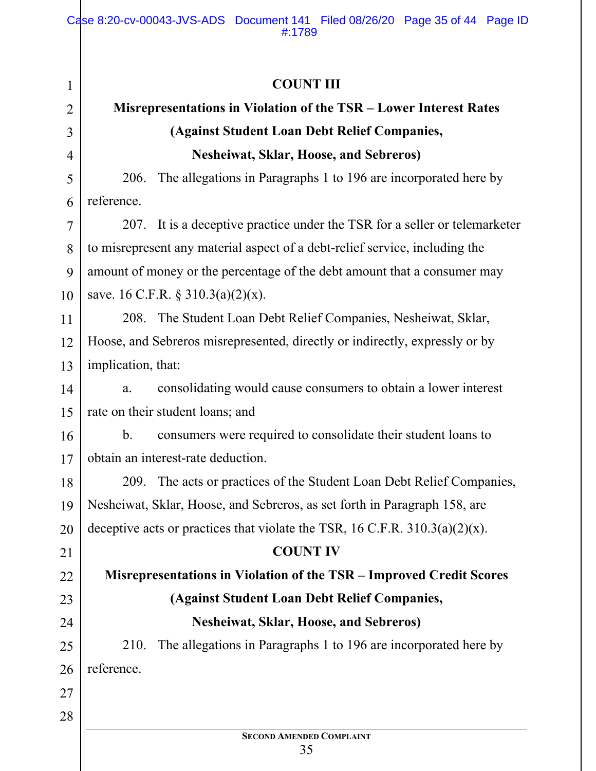| <b>COUNT III</b>                                                               |  |  |
|--------------------------------------------------------------------------------|--|--|
| <b>Misrepresentations in Violation of the TSR – Lower Interest Rates</b>       |  |  |
| (Against Student Loan Debt Relief Companies,                                   |  |  |
| <b>Nesheiwat, Sklar, Hoose, and Sebreros)</b>                                  |  |  |
| The allegations in Paragraphs 1 to 196 are incorporated here by<br>206.        |  |  |
| reference.                                                                     |  |  |
| 207. It is a deceptive practice under the TSR for a seller or telemarketer     |  |  |
| to misrepresent any material aspect of a debt-relief service, including the    |  |  |
| amount of money or the percentage of the debt amount that a consumer may       |  |  |
| save. 16 C.F.R. $\S 310.3(a)(2)(x)$ .                                          |  |  |
| 208. The Student Loan Debt Relief Companies, Nesheiwat, Sklar,                 |  |  |
| Hoose, and Sebreros misrepresented, directly or indirectly, expressly or by    |  |  |
| implication, that:                                                             |  |  |
| consolidating would cause consumers to obtain a lower interest<br>a.           |  |  |
| rate on their student loans; and                                               |  |  |
| b.<br>consumers were required to consolidate their student loans to            |  |  |
| obtain an interest-rate deduction.                                             |  |  |
| The acts or practices of the Student Loan Debt Relief Companies,<br>209.       |  |  |
| Nesheiwat, Sklar, Hoose, and Sebreros, as set forth in Paragraph 158, are      |  |  |
| deceptive acts or practices that violate the TSR, 16 C.F.R. $310.3(a)(2)(x)$ . |  |  |
| <b>COUNT IV</b>                                                                |  |  |
| Misrepresentations in Violation of the TSR - Improved Credit Scores            |  |  |
| (Against Student Loan Debt Relief Companies,                                   |  |  |
| <b>Nesheiwat, Sklar, Hoose, and Sebreros)</b>                                  |  |  |
| The allegations in Paragraphs 1 to 196 are incorporated here by<br>210.        |  |  |
| reference.                                                                     |  |  |
|                                                                                |  |  |
|                                                                                |  |  |
| <b>SECOND AMENDED COMPLAINT</b>                                                |  |  |
| 35                                                                             |  |  |
|                                                                                |  |  |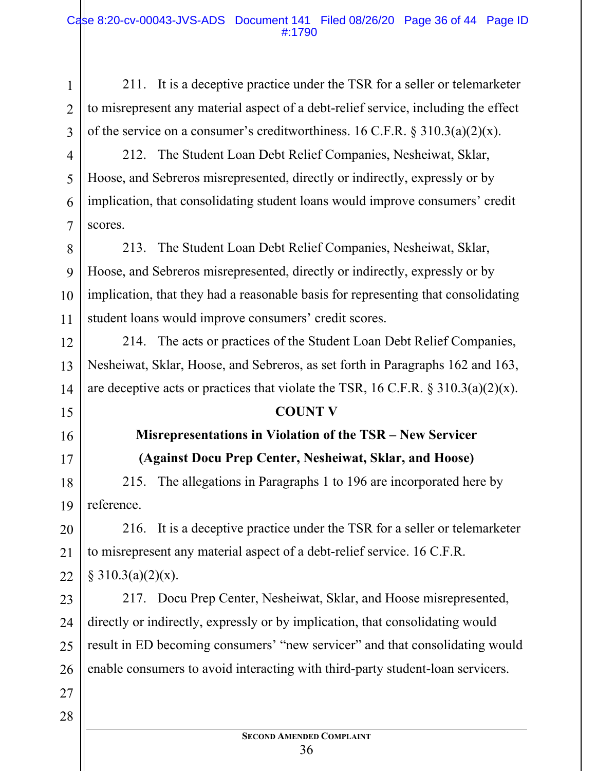211. It is a deceptive practice under the TSR for a seller or telemarketer to misrepresent any material aspect of a debt-relief service, including the effect of the service on a consumer's creditworthiness. 16 C.F.R.  $\S 310.3(a)(2)(x)$ .

4 6 7 212. The Student Loan Debt Relief Companies, Nesheiwat, Sklar, Hoose, and Sebreros misrepresented, directly or indirectly, expressly or by implication, that consolidating student loans would improve consumers' credit scores.

8 9 10 11 213. The Student Loan Debt Relief Companies, Nesheiwat, Sklar, Hoose, and Sebreros misrepresented, directly or indirectly, expressly or by implication, that they had a reasonable basis for representing that consolidating student loans would improve consumers' credit scores.

214. The acts or practices of the Student Loan Debt Relief Companies, Nesheiwat, Sklar, Hoose, and Sebreros, as set forth in Paragraphs 162 and 163, are deceptive acts or practices that violate the TSR, 16 C.F.R.  $\S 310.3(a)(2)(x)$ .

#### **COUNT V**

# **Misrepresentations in Violation of the TSR – New Servicer (Against Docu Prep Center, Nesheiwat, Sklar, and Hoose)**

215. The allegations in Paragraphs 1 to 196 are incorporated here by reference.

216. It is a deceptive practice under the TSR for a seller or telemarketer to misrepresent any material aspect of a debt-relief service. 16 C.F.R.  $§ 310.3(a)(2)(x).$ 

23 24 25 26 217. Docu Prep Center, Nesheiwat, Sklar, and Hoose misrepresented, directly or indirectly, expressly or by implication, that consolidating would result in ED becoming consumers' "new servicer" and that consolidating would enable consumers to avoid interacting with third-party student-loan servicers.

28

27

1

2

3

5

12

13

14

15

16

17

18

19

20

21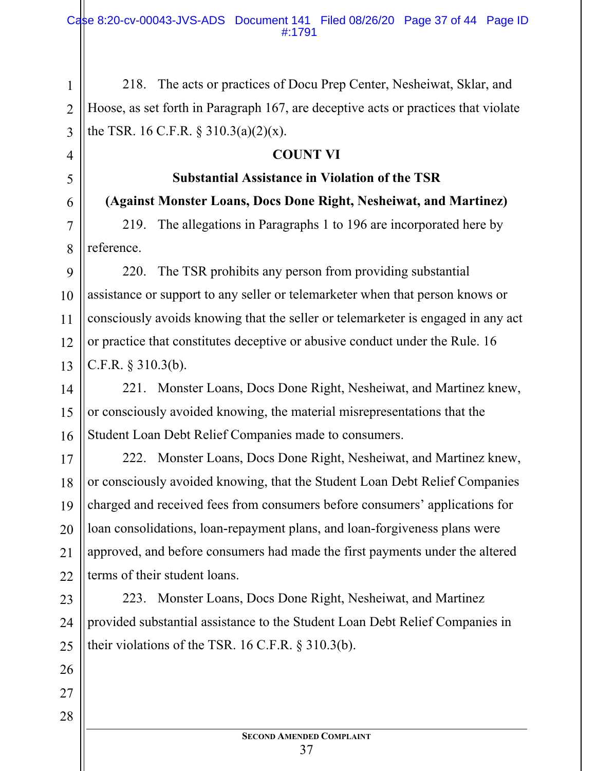218. The acts or practices of Docu Prep Center, Nesheiwat, Sklar, and Hoose, as set forth in Paragraph 167, are deceptive acts or practices that violate the TSR. 16 C.F.R.  $\S 310.3(a)(2)(x)$ .

1

2

3

4

5

6

7

8

9

10

11

12

13

14

15

16

17

18

19

20

21

22

26

27

28

#### **COUNT VI**

# **Substantial Assistance in Violation of the TSR**

**(Against Monster Loans, Docs Done Right, Nesheiwat, and Martinez)**

219. The allegations in Paragraphs 1 to 196 are incorporated here by reference.

220. The TSR prohibits any person from providing substantial assistance or support to any seller or telemarketer when that person knows or consciously avoids knowing that the seller or telemarketer is engaged in any act or practice that constitutes deceptive or abusive conduct under the Rule. 16 C.F.R. § 310.3(b).

221. Monster Loans, Docs Done Right, Nesheiwat, and Martinez knew, or consciously avoided knowing, the material misrepresentations that the Student Loan Debt Relief Companies made to consumers.

222. Monster Loans, Docs Done Right, Nesheiwat, and Martinez knew, or consciously avoided knowing, that the Student Loan Debt Relief Companies charged and received fees from consumers before consumers' applications for loan consolidations, loan-repayment plans, and loan-forgiveness plans were approved, and before consumers had made the first payments under the altered terms of their student loans.

23 24 25 223. Monster Loans, Docs Done Right, Nesheiwat, and Martinez provided substantial assistance to the Student Loan Debt Relief Companies in their violations of the TSR. 16 C.F.R. § 310.3(b).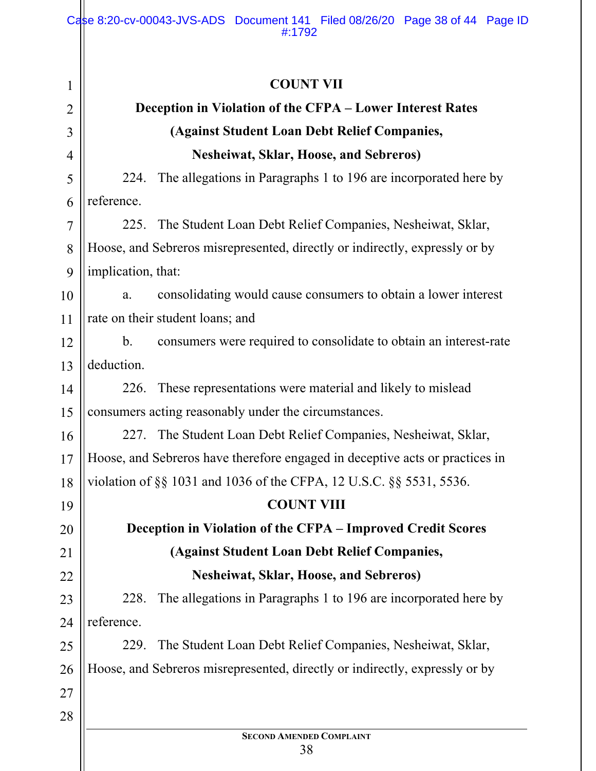| 1              | <b>COUNT VII</b>                                                                   |  |  |
|----------------|------------------------------------------------------------------------------------|--|--|
| $\overline{2}$ | Deception in Violation of the CFPA - Lower Interest Rates                          |  |  |
| 3              | (Against Student Loan Debt Relief Companies,                                       |  |  |
| 4              | <b>Nesheiwat, Sklar, Hoose, and Sebreros)</b>                                      |  |  |
| 5              | The allegations in Paragraphs 1 to 196 are incorporated here by<br>224.            |  |  |
| 6              | reference.                                                                         |  |  |
| 7              | 225. The Student Loan Debt Relief Companies, Nesheiwat, Sklar,                     |  |  |
| 8              | Hoose, and Sebreros misrepresented, directly or indirectly, expressly or by        |  |  |
| 9              | implication, that:                                                                 |  |  |
| 10             | consolidating would cause consumers to obtain a lower interest<br>a.               |  |  |
| 11             | rate on their student loans; and                                                   |  |  |
| 12             | $\mathbf b$ .<br>consumers were required to consolidate to obtain an interest-rate |  |  |
| 13             | deduction.                                                                         |  |  |
| 14             | These representations were material and likely to mislead<br>226.                  |  |  |
| 15             | consumers acting reasonably under the circumstances.                               |  |  |
| 16             | The Student Loan Debt Relief Companies, Nesheiwat, Sklar,<br>227.                  |  |  |
| 17             | Hoose, and Sebreros have therefore engaged in deceptive acts or practices in       |  |  |
| 18             | violation of §§ 1031 and 1036 of the CFPA, 12 U.S.C. §§ 5531, 5536.                |  |  |
| 19             | <b>COUNT VIII</b>                                                                  |  |  |
| 20             | Deception in Violation of the CFPA - Improved Credit Scores                        |  |  |
| 21             | (Against Student Loan Debt Relief Companies,                                       |  |  |
| 22             | <b>Nesheiwat, Sklar, Hoose, and Sebreros)</b>                                      |  |  |
| 23             | The allegations in Paragraphs 1 to 196 are incorporated here by<br>228.            |  |  |
| 24             | reference.                                                                         |  |  |
| 25             | The Student Loan Debt Relief Companies, Nesheiwat, Sklar,<br>229.                  |  |  |
| 26             | Hoose, and Sebreros misrepresented, directly or indirectly, expressly or by        |  |  |
| 27             |                                                                                    |  |  |
| 28             |                                                                                    |  |  |
|                | <b>SECOND AMENDED COMPLAINT</b><br>38                                              |  |  |
|                |                                                                                    |  |  |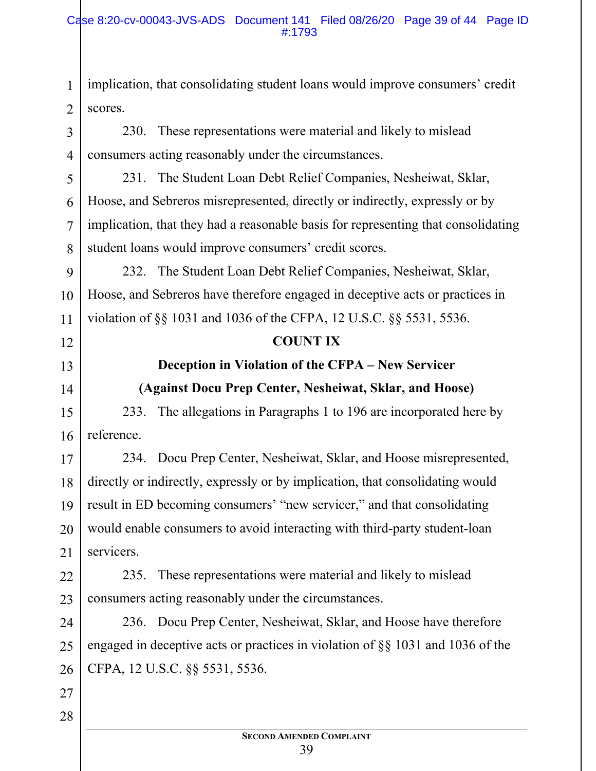implication, that consolidating student loans would improve consumers' credit scores.

230. These representations were material and likely to mislead consumers acting reasonably under the circumstances.

231. The Student Loan Debt Relief Companies, Nesheiwat, Sklar, Hoose, and Sebreros misrepresented, directly or indirectly, expressly or by implication, that they had a reasonable basis for representing that consolidating student loans would improve consumers' credit scores.

9 10 11 232. The Student Loan Debt Relief Companies, Nesheiwat, Sklar, Hoose, and Sebreros have therefore engaged in deceptive acts or practices in violation of §§ 1031 and 1036 of the CFPA, 12 U.S.C. §§ 5531, 5536.

#### **COUNT IX**

**Deception in Violation of the CFPA – New Servicer (Against Docu Prep Center, Nesheiwat, Sklar, and Hoose)** 

233. The allegations in Paragraphs 1 to 196 are incorporated here by reference.

17 18 19 20 21 234. Docu Prep Center, Nesheiwat, Sklar, and Hoose misrepresented, directly or indirectly, expressly or by implication, that consolidating would result in ED becoming consumers' "new servicer," and that consolidating would enable consumers to avoid interacting with third-party student-loan servicers.

22 23 235. These representations were material and likely to mislead consumers acting reasonably under the circumstances.

24 25 26 236. Docu Prep Center, Nesheiwat, Sklar, and Hoose have therefore engaged in deceptive acts or practices in violation of §§ 1031 and 1036 of the CFPA, 12 U.S.C. §§ 5531, 5536.

27 28

1

2

3

4

5

6

7

8

12

13

14

15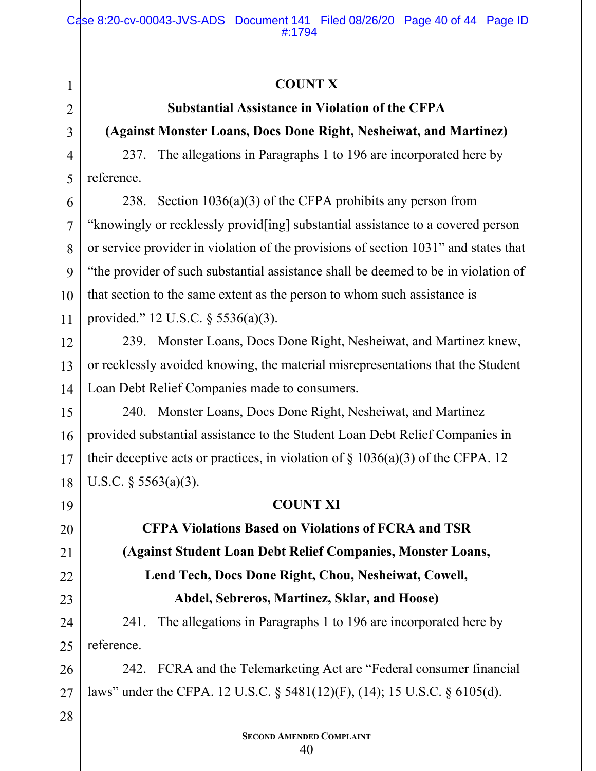## **COUNT X**

# **Substantial Assistance in Violation of the CFPA**

## **(Against Monster Loans, Docs Done Right, Nesheiwat, and Martinez)**

237. The allegations in Paragraphs 1 to 196 are incorporated here by reference.

6 7 8 10 238. Section 1036(a)(3) of the CFPA prohibits any person from "knowingly or recklessly provid[ing] substantial assistance to a covered person or service provider in violation of the provisions of section 1031" and states that "the provider of such substantial assistance shall be deemed to be in violation of that section to the same extent as the person to whom such assistance is provided." 12 U.S.C. § 5536(a)(3).

239. Monster Loans, Docs Done Right, Nesheiwat, and Martinez knew, or recklessly avoided knowing, the material misrepresentations that the Student Loan Debt Relief Companies made to consumers.

15 16 17 18 240. Monster Loans, Docs Done Right, Nesheiwat, and Martinez provided substantial assistance to the Student Loan Debt Relief Companies in their deceptive acts or practices, in violation of  $\S$  1036(a)(3) of the CFPA. 12 U.S.C.  $\S$  5563(a)(3).

## **COUNT XI**

**CFPA Violations Based on Violations of FCRA and TSR (Against Student Loan Debt Relief Companies, Monster Loans, Lend Tech, Docs Done Right, Chou, Nesheiwat, Cowell, Abdel, Sebreros, Martinez, Sklar, and Hoose)** 

24 25 241. The allegations in Paragraphs 1 to 196 are incorporated here by reference.

26 27 242. FCRA and the Telemarketing Act are "Federal consumer financial laws" under the CFPA. 12 U.S.C. § 5481(12)(F), (14); 15 U.S.C. § 6105(d).

28

1

2

3

4

5

9

11

12

13

14

19

20

21

22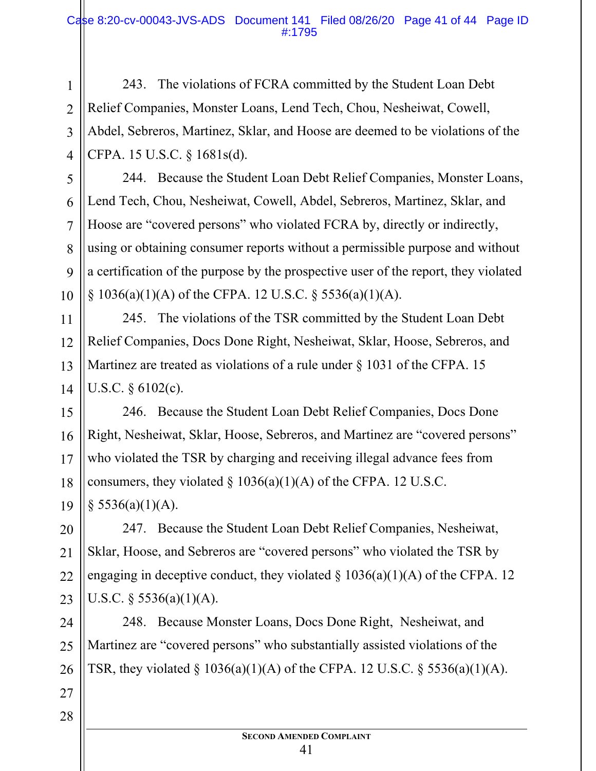#### Case 8:20-cv-00043-JVS-ADS Document 141 Filed 08/26/20 Page 41 of 44 Page ID #:1795

243. The violations of FCRA committed by the Student Loan Debt Relief Companies, Monster Loans, Lend Tech, Chou, Nesheiwat, Cowell, Abdel, Sebreros, Martinez, Sklar, and Hoose are deemed to be violations of the CFPA. 15 U.S.C. § 1681s(d).

244. Because the Student Loan Debt Relief Companies, Monster Loans, Lend Tech, Chou, Nesheiwat, Cowell, Abdel, Sebreros, Martinez, Sklar, and Hoose are "covered persons" who violated FCRA by, directly or indirectly, using or obtaining consumer reports without a permissible purpose and without a certification of the purpose by the prospective user of the report, they violated § 1036(a)(1)(A) of the CFPA. 12 U.S.C. § 5536(a)(1)(A).

245. The violations of the TSR committed by the Student Loan Debt Relief Companies, Docs Done Right, Nesheiwat, Sklar, Hoose, Sebreros, and Martinez are treated as violations of a rule under  $\S$  1031 of the CFPA. 15 U.S.C. § 6102(c).

15 16 17 18 19 246. Because the Student Loan Debt Relief Companies, Docs Done Right, Nesheiwat, Sklar, Hoose, Sebreros, and Martinez are "covered persons" who violated the TSR by charging and receiving illegal advance fees from consumers, they violated  $\S 1036(a)(1)(A)$  of the CFPA. 12 U.S.C.  $§$  5536(a)(1)(A).

20 21 22 23 247. Because the Student Loan Debt Relief Companies, Nesheiwat, Sklar, Hoose, and Sebreros are "covered persons" who violated the TSR by engaging in deceptive conduct, they violated  $\S$  1036(a)(1)(A) of the CFPA. 12 U.S.C.  $\S$  5536(a)(1)(A).

24 25 26 248. Because Monster Loans, Docs Done Right, Nesheiwat, and Martinez are "covered persons" who substantially assisted violations of the TSR, they violated  $\S 1036(a)(1)(A)$  of the CFPA. 12 U.S.C.  $\S 5536(a)(1)(A)$ .

28

27

1

2

3

4

5

6

7

8

9

10

11

12

13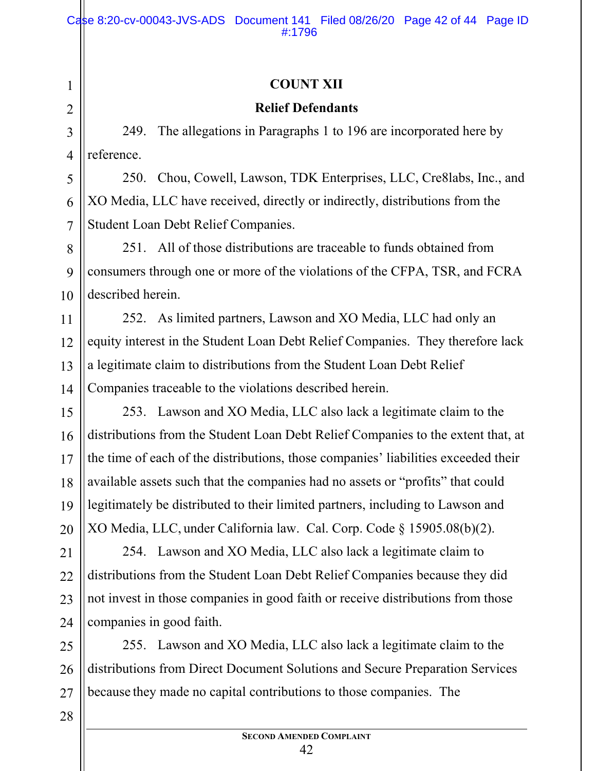## **COUNT XII**

## **Relief Defendants**

249. The allegations in Paragraphs 1 to 196 are incorporated here by reference.

250. Chou, Cowell, Lawson, TDK Enterprises, LLC, Cre8labs, Inc., and XO Media, LLC have received, directly or indirectly, distributions from the Student Loan Debt Relief Companies.

251. All of those distributions are traceable to funds obtained from consumers through one or more of the violations of the CFPA, TSR, and FCRA described herein.

252. As limited partners, Lawson and XO Media, LLC had only an equity interest in the Student Loan Debt Relief Companies. They therefore lack a legitimate claim to distributions from the Student Loan Debt Relief Companies traceable to the violations described herein.

253. Lawson and XO Media, LLC also lack a legitimate claim to the distributions from the Student Loan Debt Relief Companies to the extent that, at the time of each of the distributions, those companies' liabilities exceeded their available assets such that the companies had no assets or "profits" that could legitimately be distributed to their limited partners, including to Lawson and XO Media, LLC, under California law. Cal. Corp. Code § 15905.08(b)(2).

254. Lawson and XO Media, LLC also lack a legitimate claim to distributions from the Student Loan Debt Relief Companies because they did not invest in those companies in good faith or receive distributions from those companies in good faith.

255. Lawson and XO Media, LLC also lack a legitimate claim to the distributions from Direct Document Solutions and Secure Preparation Services because they made no capital contributions to those companies. The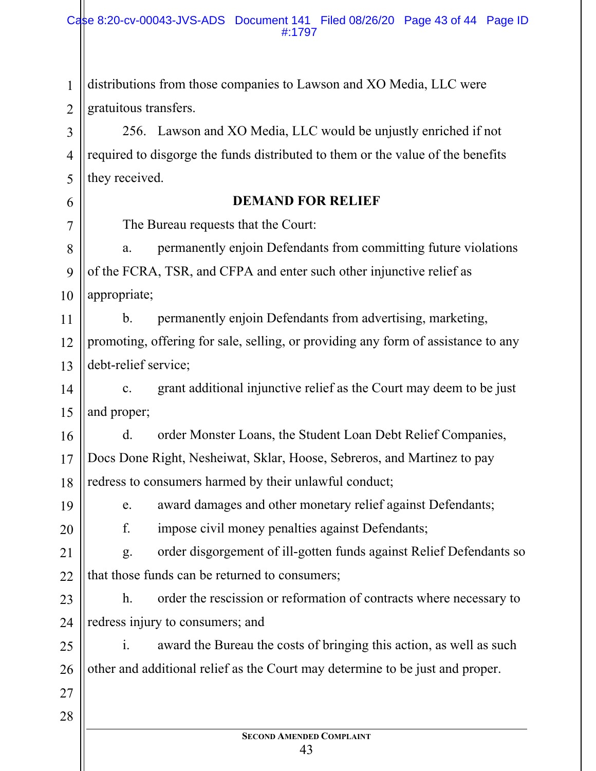2 distributions from those companies to Lawson and XO Media, LLC were gratuitous transfers.

3 4 5 256. Lawson and XO Media, LLC would be unjustly enriched if not required to disgorge the funds distributed to them or the value of the benefits they received.

#### **DEMAND FOR RELIEF**

The Bureau requests that the Court:

8 9 10 a. permanently enjoin Defendants from committing future violations of the FCRA, TSR, and CFPA and enter such other injunctive relief as appropriate;

11 12 13 b. permanently enjoin Defendants from advertising, marketing, promoting, offering for sale, selling, or providing any form of assistance to any debt-relief service;

14 15 c. grant additional injunctive relief as the Court may deem to be just and proper;

16 17 18 d. order Monster Loans, the Student Loan Debt Relief Companies, Docs Done Right, Nesheiwat, Sklar, Hoose, Sebreros, and Martinez to pay redress to consumers harmed by their unlawful conduct;

19 20

1

6

7

e. award damages and other monetary relief against Defendants;

f. impose civil money penalties against Defendants;

21 22 g. order disgorgement of ill-gotten funds against Relief Defendants so that those funds can be returned to consumers;

23 24 h. order the rescission or reformation of contracts where necessary to redress injury to consumers; and

25 26 i. award the Bureau the costs of bringing this action, as well as such other and additional relief as the Court may determine to be just and proper.

28